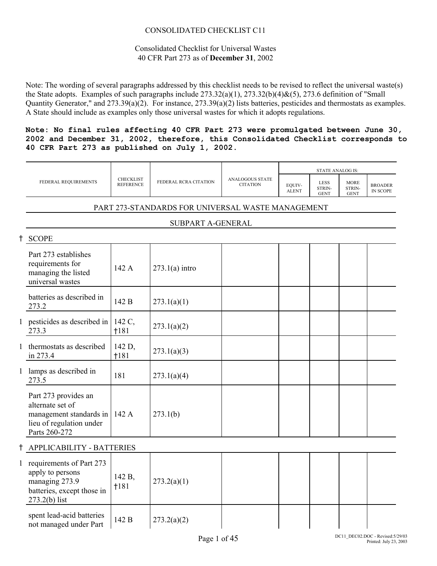#### CONSOLIDATED CHECKLIST C11

#### Consolidated Checklist for Universal Wastes 40 CFR Part 273 as of **December 31**, 2002

Note: The wording of several paragraphs addressed by this checklist needs to be revised to reflect the universal waste(s) the State adopts. Examples of such paragraphs include 273.32(a)(1), 273.32(b)(4)&(5), 273.6 definition of "Small Quantity Generator," and 273.39(a)(2). For instance, 273.39(a)(2) lists batteries, pesticides and thermostats as examples. A State should include as examples only those universal wastes for which it adopts regulations.

**Note: No final rules affecting 40 CFR Part 273 were promulgated between June 30, 2002 and December 31, 2002, therefore, this Consolidated Checklist corresponds to 40 CFR Part 273 as published on July 1, 2002.**

|            |                                                                                                                        |                                      |                                                   |                                           |                        | <b>STATE ANALOG IS:</b>              |                                      |                                   |
|------------|------------------------------------------------------------------------------------------------------------------------|--------------------------------------|---------------------------------------------------|-------------------------------------------|------------------------|--------------------------------------|--------------------------------------|-----------------------------------|
|            | FEDERAL REQUIREMENTS                                                                                                   | <b>CHECKLIST</b><br><b>REFERENCE</b> | FEDERAL RCRA CITATION                             | <b>ANALOGOUS STATE</b><br><b>CITATION</b> | EQUIV-<br><b>ALENT</b> | <b>LESS</b><br>STRIN-<br><b>GENT</b> | <b>MORE</b><br>STRIN-<br><b>GENT</b> | <b>BROADER</b><br><b>IN SCOPE</b> |
|            |                                                                                                                        |                                      | PART 273-STANDARDS FOR UNIVERSAL WASTE MANAGEMENT |                                           |                        |                                      |                                      |                                   |
|            |                                                                                                                        |                                      | SUBPART A-GENERAL                                 |                                           |                        |                                      |                                      |                                   |
| $^\dagger$ | <b>SCOPE</b>                                                                                                           |                                      |                                                   |                                           |                        |                                      |                                      |                                   |
|            | Part 273 establishes<br>requirements for<br>managing the listed<br>universal wastes                                    | 142 A                                | $273.1(a)$ intro                                  |                                           |                        |                                      |                                      |                                   |
|            | batteries as described in<br>273.2                                                                                     | 142 B                                | 273.1(a)(1)                                       |                                           |                        |                                      |                                      |                                   |
|            | 1 pesticides as described in<br>273.3                                                                                  | 142 C,<br>1181                       | 273.1(a)(2)                                       |                                           |                        |                                      |                                      |                                   |
|            | 1 thermostats as described<br>in 273.4                                                                                 | 142 D,<br>†181                       | 273.1(a)(3)                                       |                                           |                        |                                      |                                      |                                   |
|            | 1 lamps as described in<br>273.5                                                                                       | 181                                  | 273.1(a)(4)                                       |                                           |                        |                                      |                                      |                                   |
|            | Part 273 provides an<br>alternate set of<br>management standards in 142 A<br>lieu of regulation under<br>Parts 260-272 |                                      | 273.1(b)                                          |                                           |                        |                                      |                                      |                                   |
|            | APPLICABILITY - BATTERIES                                                                                              |                                      |                                                   |                                           |                        |                                      |                                      |                                   |
|            | 1 requirements of Part 273<br>apply to persons<br>managing 273.9<br>batteries, except those in<br>$273.2(b)$ list      | 142 B,<br>1181                       | 273.2(a)(1)                                       |                                           |                        |                                      |                                      |                                   |
|            | spent lead-acid batteries<br>not managed under Part                                                                    | 142 B                                | 273.2(a)(2)                                       |                                           |                        |                                      |                                      |                                   |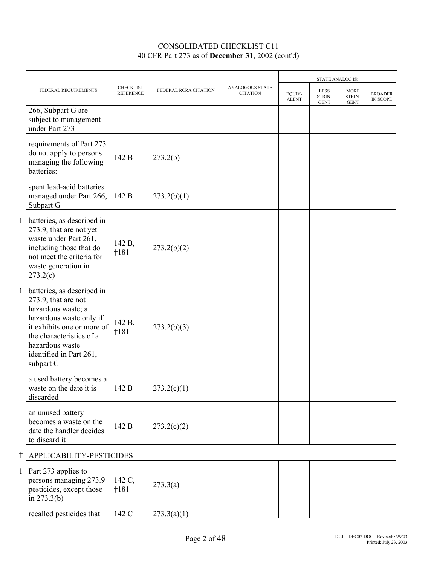|                                                                                                                                                                                                                           |                                      |                       |                                    |                        | <b>STATE ANALOG IS:</b>              |                                      |                            |
|---------------------------------------------------------------------------------------------------------------------------------------------------------------------------------------------------------------------------|--------------------------------------|-----------------------|------------------------------------|------------------------|--------------------------------------|--------------------------------------|----------------------------|
| FEDERAL REQUIREMENTS                                                                                                                                                                                                      | <b>CHECKLIST</b><br><b>REFERENCE</b> | FEDERAL RCRA CITATION | ANALOGOUS STATE<br><b>CITATION</b> | EQUIV-<br><b>ALENT</b> | <b>LESS</b><br>STRIN-<br><b>GENT</b> | <b>MORE</b><br>STRIN-<br><b>GENT</b> | <b>BROADER</b><br>IN SCOPE |
| 266, Subpart G are<br>subject to management<br>under Part 273                                                                                                                                                             |                                      |                       |                                    |                        |                                      |                                      |                            |
| requirements of Part 273<br>do not apply to persons<br>managing the following<br>batteries:                                                                                                                               | 142 B                                | 273.2(b)              |                                    |                        |                                      |                                      |                            |
| spent lead-acid batteries<br>managed under Part 266,<br>Subpart G                                                                                                                                                         | 142 B                                | 273.2(b)(1)           |                                    |                        |                                      |                                      |                            |
| 1 batteries, as described in<br>273.9, that are not yet<br>waste under Part 261,<br>including those that do<br>not meet the criteria for<br>waste generation in<br>273.2(c)                                               | 142 B,<br>†181                       | 273.2(b)(2)           |                                    |                        |                                      |                                      |                            |
| 1 batteries, as described in<br>273.9, that are not<br>hazardous waste; a<br>hazardous waste only if<br>it exhibits one or more of<br>the characteristics of a<br>hazardous waste<br>identified in Part 261,<br>subpart C | 142 B,<br>1181                       | 273.2(b)(3)           |                                    |                        |                                      |                                      |                            |
| a used battery becomes a<br>waste on the date it is<br>discarded                                                                                                                                                          | 142 B                                | 273.2(c)(1)           |                                    |                        |                                      |                                      |                            |
| an unused battery<br>becomes a waste on the<br>date the handler decides<br>to discard it                                                                                                                                  | 142 B                                | 273.2(c)(2)           |                                    |                        |                                      |                                      |                            |
| † APPLICABILITY-PESTICIDES                                                                                                                                                                                                |                                      |                       |                                    |                        |                                      |                                      |                            |
| 1 Part 273 applies to<br>persons managing 273.9<br>pesticides, except those                                                                                                                                               | 142 C,<br>†181                       | 273.3(a)              |                                    |                        |                                      |                                      |                            |

in 273.3(b)

recalled pesticides that  $\begin{vmatrix} 142 \text{ C} & 273.3(a)(1) \end{vmatrix}$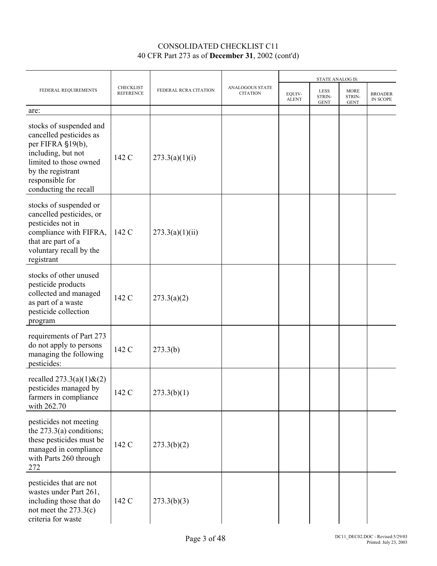|                                                                                                                                                                                          |                                      |                       |                                    | <b>STATE ANALOG IS:</b> |                               |                                      |                                   |
|------------------------------------------------------------------------------------------------------------------------------------------------------------------------------------------|--------------------------------------|-----------------------|------------------------------------|-------------------------|-------------------------------|--------------------------------------|-----------------------------------|
| FEDERAL REQUIREMENTS                                                                                                                                                                     | <b>CHECKLIST</b><br><b>REFERENCE</b> | FEDERAL RCRA CITATION | ANALOGOUS STATE<br><b>CITATION</b> | EQUIV-<br><b>ALENT</b>  | LESS<br>STRIN-<br><b>GENT</b> | <b>MORE</b><br>STRIN-<br><b>GENT</b> | <b>BROADER</b><br><b>IN SCOPE</b> |
| are:                                                                                                                                                                                     |                                      |                       |                                    |                         |                               |                                      |                                   |
| stocks of suspended and<br>cancelled pesticides as<br>per FIFRA §19(b),<br>including, but not<br>limited to those owned<br>by the registrant<br>responsible for<br>conducting the recall | 142 C                                | 273.3(a)(1)(i)        |                                    |                         |                               |                                      |                                   |
| stocks of suspended or<br>cancelled pesticides, or<br>pesticides not in<br>compliance with FIFRA,<br>that are part of a<br>voluntary recall by the<br>registrant                         | 142 C                                | 273.3(a)(1)(ii)       |                                    |                         |                               |                                      |                                   |
| stocks of other unused<br>pesticide products<br>collected and managed<br>as part of a waste<br>pesticide collection<br>program                                                           | 142 C                                | 273.3(a)(2)           |                                    |                         |                               |                                      |                                   |
| requirements of Part 273<br>do not apply to persons<br>managing the following<br>pesticides:                                                                                             | 142 C                                | 273.3(b)              |                                    |                         |                               |                                      |                                   |
| recalled $273.3(a)(1)$ & $(2)$<br>pesticides managed by<br>farmers in compliance<br>with 262.70                                                                                          | 142 C                                | 273.3(b)(1)           |                                    |                         |                               |                                      |                                   |
| pesticides not meeting<br>the $273.3(a)$ conditions;<br>these pesticides must be<br>managed in compliance<br>with Parts 260 through<br>272                                               | 142 C                                | 273.3(b)(2)           |                                    |                         |                               |                                      |                                   |
| pesticides that are not<br>wastes under Part 261,<br>including those that do<br>not meet the $273.3(c)$<br>criteria for waste                                                            | 142 C                                | 273.3(b)(3)           |                                    |                         |                               |                                      |                                   |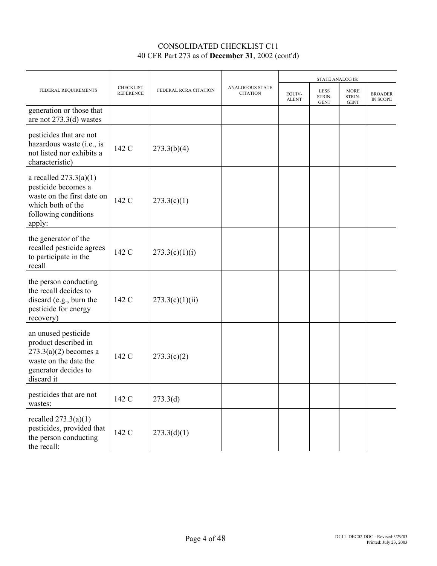|                                                                                                                                       |                                      |                       |                                           |                        | <b>STATE ANALOG IS:</b>              |                                      |                                   |
|---------------------------------------------------------------------------------------------------------------------------------------|--------------------------------------|-----------------------|-------------------------------------------|------------------------|--------------------------------------|--------------------------------------|-----------------------------------|
| FEDERAL REQUIREMENTS                                                                                                                  | <b>CHECKLIST</b><br><b>REFERENCE</b> | FEDERAL RCRA CITATION | <b>ANALOGOUS STATE</b><br><b>CITATION</b> | EQUIV-<br><b>ALENT</b> | <b>LESS</b><br>STRIN-<br><b>GENT</b> | <b>MORE</b><br>STRIN-<br><b>GENT</b> | <b>BROADER</b><br><b>IN SCOPE</b> |
| generation or those that<br>are not 273.3(d) wastes                                                                                   |                                      |                       |                                           |                        |                                      |                                      |                                   |
| pesticides that are not<br>hazardous waste (i.e., is<br>not listed nor exhibits a<br>characteristic)                                  | 142 C                                | 273.3(b)(4)           |                                           |                        |                                      |                                      |                                   |
| a recalled $273.3(a)(1)$<br>pesticide becomes a<br>waste on the first date on<br>which both of the<br>following conditions<br>apply:  | 142 C                                | 273.3(c)(1)           |                                           |                        |                                      |                                      |                                   |
| the generator of the<br>recalled pesticide agrees<br>to participate in the<br>recall                                                  | 142 C                                | 273.3(c)(1)(i)        |                                           |                        |                                      |                                      |                                   |
| the person conducting<br>the recall decides to<br>discard (e.g., burn the<br>pesticide for energy<br>recovery)                        | 142 C                                | 273.3(c)(1)(ii)       |                                           |                        |                                      |                                      |                                   |
| an unused pesticide<br>product described in<br>$273.3(a)(2)$ becomes a<br>waste on the date the<br>generator decides to<br>discard it | 142 C                                | 273.3(c)(2)           |                                           |                        |                                      |                                      |                                   |
| pesticides that are not<br>wastes:                                                                                                    | 142 C                                | 273.3(d)              |                                           |                        |                                      |                                      |                                   |
| recalled $273.3(a)(1)$<br>pesticides, provided that<br>the person conducting<br>the recall:                                           | 142 C                                | 273.3(d)(1)           |                                           |                        |                                      |                                      |                                   |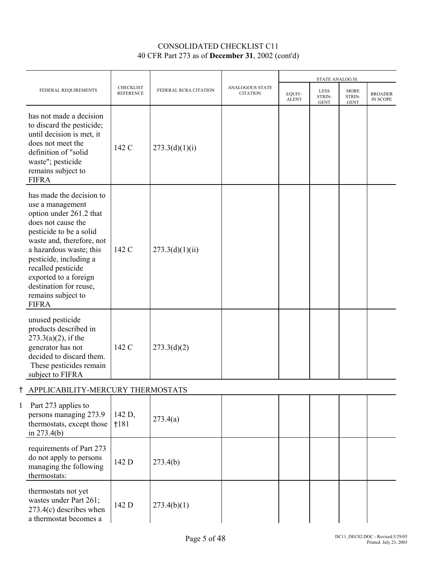|   |                                                                                                                                                                                                                                                                                                                           |                                      |                       |                                    |                        | <b>STATE ANALOG IS:</b>              |                                      |                                   |
|---|---------------------------------------------------------------------------------------------------------------------------------------------------------------------------------------------------------------------------------------------------------------------------------------------------------------------------|--------------------------------------|-----------------------|------------------------------------|------------------------|--------------------------------------|--------------------------------------|-----------------------------------|
|   | FEDERAL REQUIREMENTS                                                                                                                                                                                                                                                                                                      | <b>CHECKLIST</b><br><b>REFERENCE</b> | FEDERAL RCRA CITATION | ANALOGOUS STATE<br><b>CITATION</b> | EQUIV-<br><b>ALENT</b> | <b>LESS</b><br>STRIN-<br><b>GENT</b> | <b>MORE</b><br>STRIN-<br><b>GENT</b> | <b>BROADER</b><br><b>IN SCOPE</b> |
|   | has not made a decision<br>to discard the pesticide;<br>until decision is met, it<br>does not meet the<br>definition of "solid<br>waste"; pesticide<br>remains subject to<br><b>FIFRA</b>                                                                                                                                 | 142 C                                | 273.3(d)(1)(i)        |                                    |                        |                                      |                                      |                                   |
|   | has made the decision to<br>use a management<br>option under 261.2 that<br>does not cause the<br>pesticide to be a solid<br>waste and, therefore, not<br>a hazardous waste; this<br>pesticide, including a<br>recalled pesticide<br>exported to a foreign<br>destination for reuse,<br>remains subject to<br><b>FIFRA</b> | 142 C                                | 273.3(d)(1)(ii)       |                                    |                        |                                      |                                      |                                   |
|   | unused pesticide<br>products described in<br>$273.3(a)(2)$ , if the<br>generator has not<br>decided to discard them.<br>These pesticides remain<br>subject to FIFRA                                                                                                                                                       | 142 C                                | 273.3(d)(2)           |                                    |                        |                                      |                                      |                                   |
|   | APPLICABILITY-MERCURY THERMOSTATS                                                                                                                                                                                                                                                                                         |                                      |                       |                                    |                        |                                      |                                      |                                   |
| 1 | Part 273 applies to<br>persons managing 273.9<br>thermostats, except those<br>in $273.4(b)$                                                                                                                                                                                                                               | 142 D,<br>1181                       | 273.4(a)              |                                    |                        |                                      |                                      |                                   |
|   | requirements of Part 273<br>do not apply to persons<br>managing the following<br>thermostats:                                                                                                                                                                                                                             | 142 D                                | 273.4(b)              |                                    |                        |                                      |                                      |                                   |
|   | thermostats not yet<br>wastes under Part 261;<br>$273.4(c)$ describes when<br>a thermostat becomes a                                                                                                                                                                                                                      | 142 D                                | 273.4(b)(1)           |                                    |                        |                                      |                                      |                                   |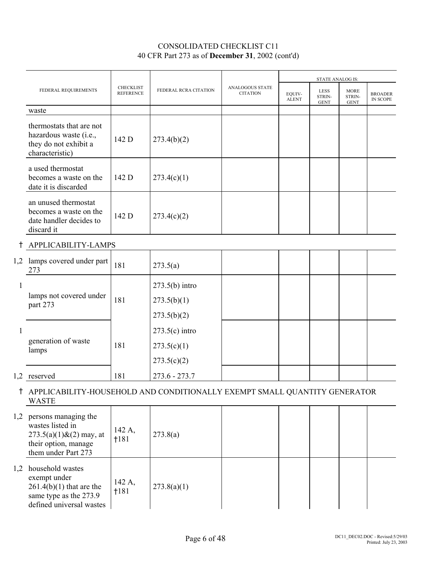|     |                                                                                                                              |                                      |                       |                                    | <b>STATE ANALOG IS:</b> |                                      |                                      |                                   |
|-----|------------------------------------------------------------------------------------------------------------------------------|--------------------------------------|-----------------------|------------------------------------|-------------------------|--------------------------------------|--------------------------------------|-----------------------------------|
|     | FEDERAL REQUIREMENTS                                                                                                         | <b>CHECKLIST</b><br><b>REFERENCE</b> | FEDERAL RCRA CITATION | ANALOGOUS STATE<br><b>CITATION</b> | EQUIV-<br><b>ALENT</b>  | <b>LESS</b><br>STRIN-<br><b>GENT</b> | <b>MORE</b><br>STRIN-<br><b>GENT</b> | <b>BROADER</b><br><b>IN SCOPE</b> |
|     | waste                                                                                                                        |                                      |                       |                                    |                         |                                      |                                      |                                   |
|     | thermostats that are not<br>hazardous waste (i.e.,<br>they do not exhibit a<br>characteristic)                               | 142 D                                | 273.4(b)(2)           |                                    |                         |                                      |                                      |                                   |
|     | a used thermostat<br>becomes a waste on the<br>date it is discarded                                                          | 142 D                                | 273.4(c)(1)           |                                    |                         |                                      |                                      |                                   |
|     | an unused thermostat<br>becomes a waste on the<br>date handler decides to<br>discard it                                      | 142 D                                | 273.4(c)(2)           |                                    |                         |                                      |                                      |                                   |
| t   | APPLICABILITY-LAMPS                                                                                                          |                                      |                       |                                    |                         |                                      |                                      |                                   |
| 1,2 | lamps covered under part<br>273                                                                                              | 181                                  | 273.5(a)              |                                    |                         |                                      |                                      |                                   |
| 1   | lamps not covered under                                                                                                      |                                      | $273.5(b)$ intro      |                                    |                         |                                      |                                      |                                   |
|     | part 273                                                                                                                     | 181                                  | 273.5(b)(1)           |                                    |                         |                                      |                                      |                                   |
|     |                                                                                                                              |                                      | 273.5(b)(2)           |                                    |                         |                                      |                                      |                                   |
| 1   |                                                                                                                              |                                      | $273.5(c)$ intro      |                                    |                         |                                      |                                      |                                   |
|     | generation of waste<br>lamps                                                                                                 | 181                                  | 273.5(c)(1)           |                                    |                         |                                      |                                      |                                   |
|     |                                                                                                                              |                                      | 273.5(c)(2)           |                                    |                         |                                      |                                      |                                   |
|     | 1,2 reserved                                                                                                                 | 181                                  | $273.6 - 273.7$       |                                    |                         |                                      |                                      |                                   |
|     | † APPLICABILITY-HOUSEHOLD AND CONDITIONALLY EXEMPT SMALL QUANTITY GENERATOR<br><b>WASTE</b>                                  |                                      |                       |                                    |                         |                                      |                                      |                                   |
|     | 1,2 persons managing the<br>wastes listed in<br>$273.5(a)(1)$ & $(2)$ may, at<br>their option, manage<br>them under Part 273 | 142 A,<br>†181                       | 273.8(a)              |                                    |                         |                                      |                                      |                                   |
|     | 1,2 household wastes<br>exempt under<br>$261.4(b)(1)$ that are the<br>same type as the 273.9<br>defined universal wastes     | 142 A,<br>1181                       | 273.8(a)(1)           |                                    |                         |                                      |                                      |                                   |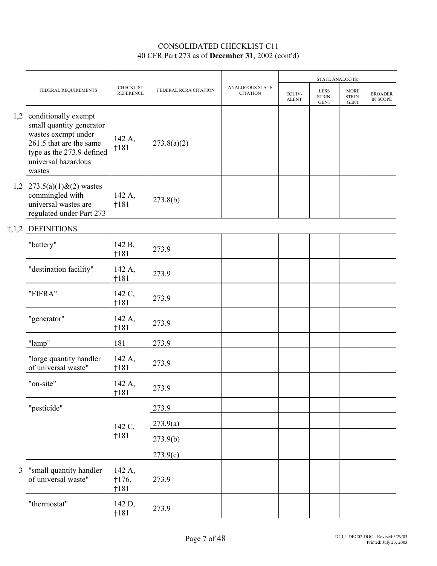|     |                                                                                                                                                                      |                               |                       |                                    |                        | <b>STATE ANALOG IS:</b>              |                                      |                            |
|-----|----------------------------------------------------------------------------------------------------------------------------------------------------------------------|-------------------------------|-----------------------|------------------------------------|------------------------|--------------------------------------|--------------------------------------|----------------------------|
|     | FEDERAL REQUIREMENTS                                                                                                                                                 | CHECKLIST<br><b>REFERENCE</b> | FEDERAL RCRA CITATION | ANALOGOUS STATE<br><b>CITATION</b> | EQUIV-<br><b>ALENT</b> | <b>LESS</b><br>STRIN-<br><b>GENT</b> | <b>MORE</b><br>STRIN-<br><b>GENT</b> | <b>BROADER</b><br>IN SCOPE |
|     | 1,2 conditionally exempt<br>small quantity generator<br>wastes exempt under<br>261.5 that are the same<br>type as the 273.9 defined<br>universal hazardous<br>wastes | 142 A,<br>1181                | 273.8(a)(2)           |                                    |                        |                                      |                                      |                            |
| 1,2 | $273.5(a)(1)$ & $(2)$ wastes<br>commingled with<br>universal wastes are<br>regulated under Part 273                                                                  | 142 A,<br>†181                | 273.8(b)              |                                    |                        |                                      |                                      |                            |
|     | <b>†,1,2 DEFINITIONS</b>                                                                                                                                             |                               |                       |                                    |                        |                                      |                                      |                            |
|     | "battery"                                                                                                                                                            | 142 B,<br>†181                | 273.9                 |                                    |                        |                                      |                                      |                            |
|     | "destination facility"                                                                                                                                               | 142 A,<br>$+181$              | 273.9                 |                                    |                        |                                      |                                      |                            |
|     | "FIFRA"                                                                                                                                                              | 142 C,<br>1181                | 273.9                 |                                    |                        |                                      |                                      |                            |
|     | "generator"                                                                                                                                                          | 142 A,<br>1181                | 273.9                 |                                    |                        |                                      |                                      |                            |
|     | "lamp"                                                                                                                                                               | 181                           | 273.9                 |                                    |                        |                                      |                                      |                            |
|     | "large quantity handler<br>of universal waste"                                                                                                                       | 142 A,<br>1181                | 273.9                 |                                    |                        |                                      |                                      |                            |
|     | "on-site"                                                                                                                                                            | 142 A,<br>1181                | 273.9                 |                                    |                        |                                      |                                      |                            |
|     | "pesticide"                                                                                                                                                          |                               | 273.9                 |                                    |                        |                                      |                                      |                            |
|     |                                                                                                                                                                      | 142 C,                        | 273.9(a)              |                                    |                        |                                      |                                      |                            |
|     |                                                                                                                                                                      | 1181                          | 273.9(b)              |                                    |                        |                                      |                                      |                            |
|     |                                                                                                                                                                      |                               | 273.9(c)              |                                    |                        |                                      |                                      |                            |
| 3   | "small quantity handler<br>of universal waste"                                                                                                                       | 142 A,<br>$+176,$<br>1181     | 273.9                 |                                    |                        |                                      |                                      |                            |
|     | "thermostat"                                                                                                                                                         | 142 D,<br>1181                | 273.9                 |                                    |                        |                                      |                                      |                            |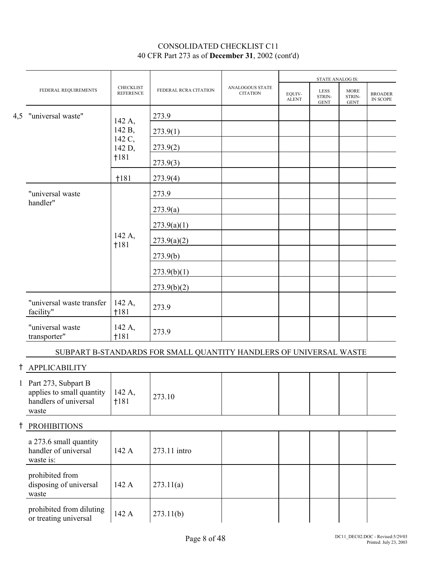|            |                                                                                      |                                      |                       |                                    |                        | <b>STATE ANALOG IS:</b>              |                                      |                            |  |
|------------|--------------------------------------------------------------------------------------|--------------------------------------|-----------------------|------------------------------------|------------------------|--------------------------------------|--------------------------------------|----------------------------|--|
|            | FEDERAL REQUIREMENTS                                                                 | <b>CHECKLIST</b><br><b>REFERENCE</b> | FEDERAL RCRA CITATION | ANALOGOUS STATE<br><b>CITATION</b> | EQUIV-<br><b>ALENT</b> | <b>LESS</b><br>STRIN-<br><b>GENT</b> | <b>MORE</b><br>STRIN-<br><b>GENT</b> | <b>BROADER</b><br>IN SCOPE |  |
|            | 4,5 "universal waste"                                                                | 142 A,                               | 273.9                 |                                    |                        |                                      |                                      |                            |  |
|            |                                                                                      | 142 B,                               | 273.9(1)              |                                    |                        |                                      |                                      |                            |  |
|            |                                                                                      | 142 C,<br>142 D,                     | 273.9(2)              |                                    |                        |                                      |                                      |                            |  |
|            |                                                                                      | $+181$                               | 273.9(3)              |                                    |                        |                                      |                                      |                            |  |
|            |                                                                                      | †181                                 | 273.9(4)              |                                    |                        |                                      |                                      |                            |  |
|            | "universal waste                                                                     |                                      | 273.9                 |                                    |                        |                                      |                                      |                            |  |
|            | handler"                                                                             |                                      | 273.9(a)              |                                    |                        |                                      |                                      |                            |  |
|            |                                                                                      |                                      | 273.9(a)(1)           |                                    |                        |                                      |                                      |                            |  |
|            |                                                                                      | 142 A,<br>1181                       | 273.9(a)(2)           |                                    |                        |                                      |                                      |                            |  |
|            |                                                                                      |                                      | 273.9(b)              |                                    |                        |                                      |                                      |                            |  |
|            |                                                                                      |                                      | 273.9(b)(1)           |                                    |                        |                                      |                                      |                            |  |
|            |                                                                                      |                                      | 273.9(b)(2)           |                                    |                        |                                      |                                      |                            |  |
|            | "universal waste transfer<br>facility"                                               | 142 A,<br>†181                       | 273.9                 |                                    |                        |                                      |                                      |                            |  |
|            | "universal waste<br>transporter"                                                     | 142 A,<br>1181                       | 273.9                 |                                    |                        |                                      |                                      |                            |  |
|            | SUBPART B-STANDARDS FOR SMALL QUANTITY HANDLERS OF UNIVERSAL WASTE                   |                                      |                       |                                    |                        |                                      |                                      |                            |  |
| t          | <b>APPLICABILITY</b>                                                                 |                                      |                       |                                    |                        |                                      |                                      |                            |  |
|            | 1 Part 273, Subpart B<br>applies to small quantity<br>handlers of universal<br>waste | 142 A,<br>1181                       | 273.10                |                                    |                        |                                      |                                      |                            |  |
| $\ddagger$ | <b>PROHIBITIONS</b>                                                                  |                                      |                       |                                    |                        |                                      |                                      |                            |  |
|            | a 273.6 small quantity<br>handler of universal<br>waste is:                          | 142 A                                | 273.11 intro          |                                    |                        |                                      |                                      |                            |  |
|            | prohibited from<br>disposing of universal<br>waste                                   | 142 A                                | 273.11(a)             |                                    |                        |                                      |                                      |                            |  |
|            | prohibited from diluting<br>or treating universal                                    | 142 A                                | 273.11(b)             |                                    |                        |                                      |                                      |                            |  |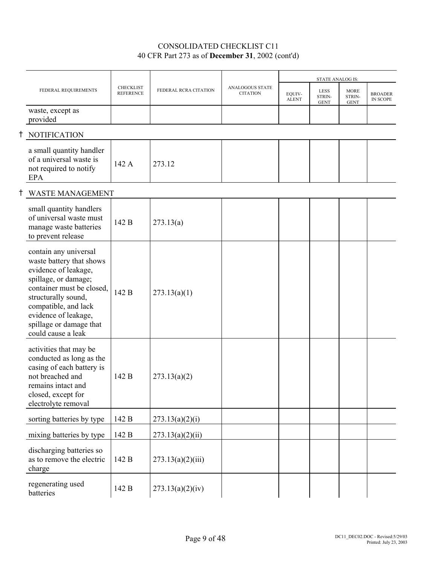|                                                                                                                                                                                                                                                        |                                      |                       |                                    |                        |                                      | <b>STATE ANALOG IS:</b>              |                                   |
|--------------------------------------------------------------------------------------------------------------------------------------------------------------------------------------------------------------------------------------------------------|--------------------------------------|-----------------------|------------------------------------|------------------------|--------------------------------------|--------------------------------------|-----------------------------------|
| FEDERAL REQUIREMENTS                                                                                                                                                                                                                                   | <b>CHECKLIST</b><br><b>REFERENCE</b> | FEDERAL RCRA CITATION | ANALOGOUS STATE<br><b>CITATION</b> | EQUIV-<br><b>ALENT</b> | <b>LESS</b><br>STRIN-<br><b>GENT</b> | <b>MORE</b><br>STRIN-<br><b>GENT</b> | <b>BROADER</b><br><b>IN SCOPE</b> |
| waste, except as<br>provided                                                                                                                                                                                                                           |                                      |                       |                                    |                        |                                      |                                      |                                   |
| <b>NOTIFICATION</b>                                                                                                                                                                                                                                    |                                      |                       |                                    |                        |                                      |                                      |                                   |
| a small quantity handler<br>of a universal waste is<br>not required to notify<br>EPA                                                                                                                                                                   | 142 A                                | 273.12                |                                    |                        |                                      |                                      |                                   |
| <b>WASTE MANAGEMENT</b>                                                                                                                                                                                                                                |                                      |                       |                                    |                        |                                      |                                      |                                   |
| small quantity handlers<br>of universal waste must<br>manage waste batteries<br>to prevent release                                                                                                                                                     | 142 B                                | 273.13(a)             |                                    |                        |                                      |                                      |                                   |
| contain any universal<br>waste battery that shows<br>evidence of leakage,<br>spillage, or damage;<br>container must be closed,<br>structurally sound,<br>compatible, and lack<br>evidence of leakage,<br>spillage or damage that<br>could cause a leak | 142 B                                | 273.13(a)(1)          |                                    |                        |                                      |                                      |                                   |
| activities that may be<br>conducted as long as the<br>casing of each battery is<br>not breached and<br>remains intact and<br>closed, except for<br>electrolyte removal                                                                                 | 142 B                                | 273.13(a)(2)          |                                    |                        |                                      |                                      |                                   |
| sorting batteries by type                                                                                                                                                                                                                              | 142 B                                | 273.13(a)(2)(i)       |                                    |                        |                                      |                                      |                                   |
| mixing batteries by type                                                                                                                                                                                                                               | 142 B                                | 273.13(a)(2)(ii)      |                                    |                        |                                      |                                      |                                   |
| discharging batteries so<br>as to remove the electric<br>charge                                                                                                                                                                                        | 142 B                                | 273.13(a)(2)(iii)     |                                    |                        |                                      |                                      |                                   |
| regenerating used<br>batteries                                                                                                                                                                                                                         | 142 B                                | 273.13(a)(2)(iv)      |                                    |                        |                                      |                                      |                                   |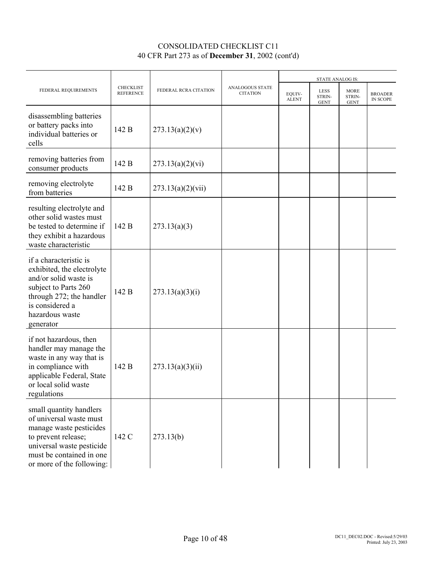|                                                                                                                                                                                            |                                      |                       |                                           |                        | STATE ANALOG IS:              |                                      |                                   |
|--------------------------------------------------------------------------------------------------------------------------------------------------------------------------------------------|--------------------------------------|-----------------------|-------------------------------------------|------------------------|-------------------------------|--------------------------------------|-----------------------------------|
| FEDERAL REQUIREMENTS                                                                                                                                                                       | <b>CHECKLIST</b><br><b>REFERENCE</b> | FEDERAL RCRA CITATION | <b>ANALOGOUS STATE</b><br><b>CITATION</b> | EQUIV-<br><b>ALENT</b> | LESS<br>STRIN-<br><b>GENT</b> | <b>MORE</b><br>STRIN-<br><b>GENT</b> | <b>BROADER</b><br><b>IN SCOPE</b> |
| disassembling batteries<br>or battery packs into<br>individual batteries or<br>cells                                                                                                       | 142 B                                | 273.13(a)(2)(v)       |                                           |                        |                               |                                      |                                   |
| removing batteries from<br>consumer products                                                                                                                                               | 142 B                                | 273.13(a)(2)(vi)      |                                           |                        |                               |                                      |                                   |
| removing electrolyte<br>from batteries                                                                                                                                                     | 142 B                                | 273.13(a)(2)(vii)     |                                           |                        |                               |                                      |                                   |
| resulting electrolyte and<br>other solid wastes must<br>be tested to determine if<br>they exhibit a hazardous<br>waste characteristic                                                      | 142 B                                | 273.13(a)(3)          |                                           |                        |                               |                                      |                                   |
| if a characteristic is<br>exhibited, the electrolyte<br>and/or solid waste is<br>subject to Parts 260<br>through 272; the handler<br>is considered a<br>hazardous waste<br>generator       | 142 B                                | 273.13(a)(3)(i)       |                                           |                        |                               |                                      |                                   |
| if not hazardous, then<br>handler may manage the<br>waste in any way that is<br>in compliance with<br>applicable Federal, State<br>or local solid waste<br>regulations                     | 142 B                                | 273.13(a)(3)(ii)      |                                           |                        |                               |                                      |                                   |
| small quantity handlers<br>of universal waste must<br>manage waste pesticides<br>to prevent release;<br>universal waste pesticide<br>must be contained in one<br>or more of the following: | 142 C                                | 273.13(b)             |                                           |                        |                               |                                      |                                   |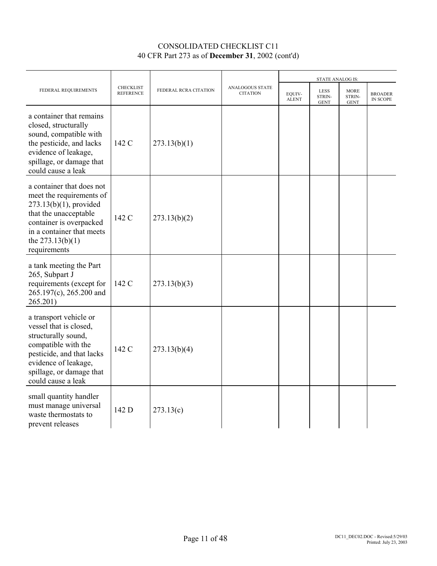|                                                                                                                                                                                                           |                                      |                       |                                           |                        | <b>STATE ANALOG IS:</b>              |                                      |                            |
|-----------------------------------------------------------------------------------------------------------------------------------------------------------------------------------------------------------|--------------------------------------|-----------------------|-------------------------------------------|------------------------|--------------------------------------|--------------------------------------|----------------------------|
| FEDERAL REQUIREMENTS                                                                                                                                                                                      | <b>CHECKLIST</b><br><b>REFERENCE</b> | FEDERAL RCRA CITATION | <b>ANALOGOUS STATE</b><br><b>CITATION</b> | EQUIV-<br><b>ALENT</b> | <b>LESS</b><br>STRIN-<br><b>GENT</b> | <b>MORE</b><br>STRIN-<br><b>GENT</b> | <b>BROADER</b><br>IN SCOPE |
| a container that remains<br>closed, structurally<br>sound, compatible with<br>the pesticide, and lacks<br>evidence of leakage,<br>spillage, or damage that<br>could cause a leak                          | 142 C                                | 273.13(b)(1)          |                                           |                        |                                      |                                      |                            |
| a container that does not<br>meet the requirements of<br>$273.13(b)(1)$ , provided<br>that the unacceptable<br>container is overpacked<br>in a container that meets<br>the $273.13(b)(1)$<br>requirements | 142 C                                | 273.13(b)(2)          |                                           |                        |                                      |                                      |                            |
| a tank meeting the Part<br>265, Subpart J<br>requirements (except for<br>265.197(c), 265.200 and<br>265.201)                                                                                              | 142 C                                | 273.13(b)(3)          |                                           |                        |                                      |                                      |                            |
| a transport vehicle or<br>vessel that is closed,<br>structurally sound,<br>compatible with the<br>pesticide, and that lacks<br>evidence of leakage,<br>spillage, or damage that<br>could cause a leak     | 142 C                                | 273.13(b)(4)          |                                           |                        |                                      |                                      |                            |
| small quantity handler<br>must manage universal<br>waste thermostats to<br>prevent releases                                                                                                               | 142 D                                | 273.13(c)             |                                           |                        |                                      |                                      |                            |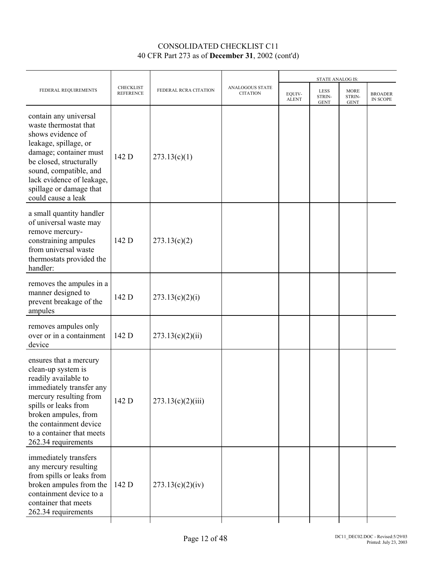|                                                                                                                                                                                                                                                           |                                      |                       |                                    |                        |                                      | STATE ANALOG IS:                     |                            |  |  |
|-----------------------------------------------------------------------------------------------------------------------------------------------------------------------------------------------------------------------------------------------------------|--------------------------------------|-----------------------|------------------------------------|------------------------|--------------------------------------|--------------------------------------|----------------------------|--|--|
| FEDERAL REQUIREMENTS                                                                                                                                                                                                                                      | <b>CHECKLIST</b><br><b>REFERENCE</b> | FEDERAL RCRA CITATION | ANALOGOUS STATE<br><b>CITATION</b> | EQUIV-<br><b>ALENT</b> | <b>LESS</b><br>STRIN-<br><b>GENT</b> | <b>MORE</b><br>STRIN-<br><b>GENT</b> | <b>BROADER</b><br>IN SCOPE |  |  |
| contain any universal<br>waste thermostat that<br>shows evidence of<br>leakage, spillage, or<br>damage; container must<br>be closed, structurally<br>sound, compatible, and<br>lack evidence of leakage,<br>spillage or damage that<br>could cause a leak | 142 D                                | 273.13(c)(1)          |                                    |                        |                                      |                                      |                            |  |  |
| a small quantity handler<br>of universal waste may<br>remove mercury-<br>constraining ampules<br>from universal waste<br>thermostats provided the<br>handler:                                                                                             | 142 D                                | 273.13(c)(2)          |                                    |                        |                                      |                                      |                            |  |  |
| removes the ampules in a<br>manner designed to<br>prevent breakage of the<br>ampules                                                                                                                                                                      | 142 D                                | 273.13(c)(2)(i)       |                                    |                        |                                      |                                      |                            |  |  |
| removes ampules only<br>over or in a containment<br>device                                                                                                                                                                                                | 142 D                                | 273.13(c)(2)(ii)      |                                    |                        |                                      |                                      |                            |  |  |
| ensures that a mercury<br>clean-up system is<br>readily available to<br>immediately transfer any<br>mercury resulting from<br>spills or leaks from<br>broken ampules, from<br>the containment device<br>to a container that meets<br>262.34 requirements  | 142 D                                | 273.13(c)(2)(iii)     |                                    |                        |                                      |                                      |                            |  |  |
| immediately transfers<br>any mercury resulting<br>from spills or leaks from<br>broken ampules from the<br>containment device to a<br>container that meets<br>262.34 requirements                                                                          | 142 D                                | 273.13(c)(2)(iv)      |                                    |                        |                                      |                                      |                            |  |  |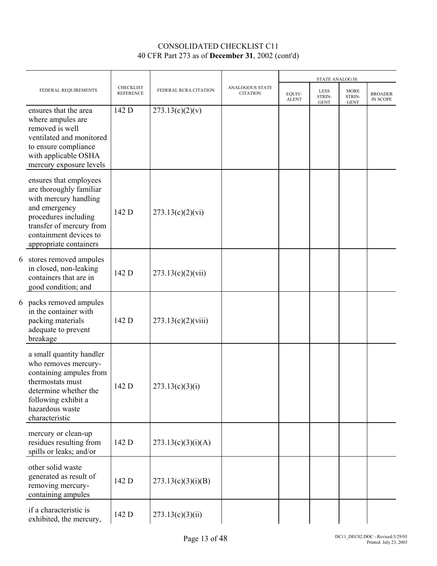|   |                                                                                                                                                                                                     |                                      |                       |                                           |                        | STATE ANALOG IS:              |                                      |                            |
|---|-----------------------------------------------------------------------------------------------------------------------------------------------------------------------------------------------------|--------------------------------------|-----------------------|-------------------------------------------|------------------------|-------------------------------|--------------------------------------|----------------------------|
|   | FEDERAL REQUIREMENTS                                                                                                                                                                                | <b>CHECKLIST</b><br><b>REFERENCE</b> | FEDERAL RCRA CITATION | <b>ANALOGOUS STATE</b><br><b>CITATION</b> | EQUIV-<br><b>ALENT</b> | LESS<br>STRIN-<br><b>GENT</b> | <b>MORE</b><br>STRIN-<br><b>GENT</b> | <b>BROADER</b><br>IN SCOPE |
|   | ensures that the area<br>where ampules are<br>removed is well<br>ventilated and monitored<br>to ensure compliance<br>with applicable OSHA<br>mercury exposure levels                                | 142 D                                | 273.13(c)(2)(v)       |                                           |                        |                               |                                      |                            |
|   | ensures that employees<br>are thoroughly familiar<br>with mercury handling<br>and emergency<br>procedures including<br>transfer of mercury from<br>containment devices to<br>appropriate containers | 142 D                                | 273.13(c)(2)(vi)      |                                           |                        |                               |                                      |                            |
| 6 | stores removed ampules<br>in closed, non-leaking<br>containers that are in<br>good condition; and                                                                                                   | 142 D                                | 273.13(c)(2)(vii)     |                                           |                        |                               |                                      |                            |
|   | 6 packs removed ampules<br>in the container with<br>packing materials<br>adequate to prevent<br>breakage                                                                                            | 142 D                                | 273.13(c)(2)(viii)    |                                           |                        |                               |                                      |                            |
|   | a small quantity handler<br>who removes mercury-<br>containing ampules from<br>thermostats must<br>determine whether the<br>following exhibit a<br>hazardous waste<br>characteristic                | 142 D                                | 273.13(c)(3)(i)       |                                           |                        |                               |                                      |                            |
|   | mercury or clean-up<br>residues resulting from<br>spills or leaks; and/or                                                                                                                           | 142 D                                | 273.13(c)(3)(i)(A)    |                                           |                        |                               |                                      |                            |
|   | other solid waste<br>generated as result of<br>removing mercury-<br>containing ampules                                                                                                              | 142 D                                | 273.13(c)(3)(i)(B)    |                                           |                        |                               |                                      |                            |
|   | if a characteristic is<br>exhibited, the mercury,                                                                                                                                                   | 142 D                                | 273.13(c)(3)(ii)      |                                           |                        |                               |                                      |                            |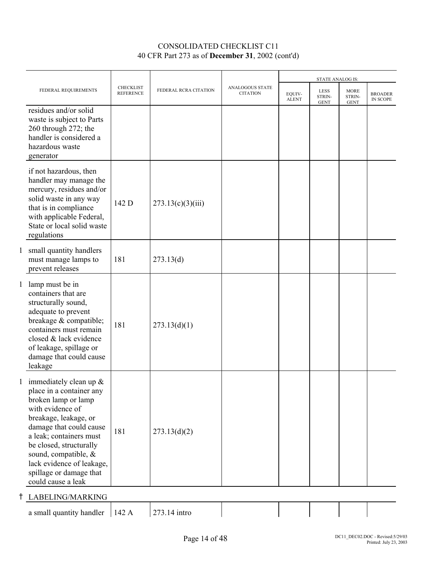|   |                                                                                                                                                                                                                                                                                                                   |                                      |                       |                                           | <b>STATE ANALOG IS:</b> |                               |                                      |                            |
|---|-------------------------------------------------------------------------------------------------------------------------------------------------------------------------------------------------------------------------------------------------------------------------------------------------------------------|--------------------------------------|-----------------------|-------------------------------------------|-------------------------|-------------------------------|--------------------------------------|----------------------------|
|   | FEDERAL REQUIREMENTS                                                                                                                                                                                                                                                                                              | <b>CHECKLIST</b><br><b>REFERENCE</b> | FEDERAL RCRA CITATION | <b>ANALOGOUS STATE</b><br><b>CITATION</b> | EQUIV-<br><b>ALENT</b>  | LESS<br>STRIN-<br><b>GENT</b> | <b>MORE</b><br>STRIN-<br><b>GENT</b> | <b>BROADER</b><br>IN SCOPE |
|   | residues and/or solid<br>waste is subject to Parts<br>260 through 272; the<br>handler is considered a<br>hazardous waste<br>generator                                                                                                                                                                             |                                      |                       |                                           |                         |                               |                                      |                            |
|   | if not hazardous, then<br>handler may manage the<br>mercury, residues and/or<br>solid waste in any way<br>that is in compliance<br>with applicable Federal,<br>State or local solid waste<br>regulations                                                                                                          | 142 D                                | 273.13(c)(3)(iii)     |                                           |                         |                               |                                      |                            |
| 1 | small quantity handlers<br>must manage lamps to<br>prevent releases                                                                                                                                                                                                                                               | 181                                  | 273.13(d)             |                                           |                         |                               |                                      |                            |
|   | 1 lamp must be in<br>containers that are<br>structurally sound,<br>adequate to prevent<br>breakage & compatible;<br>containers must remain<br>closed & lack evidence<br>of leakage, spillage or<br>damage that could cause<br>leakage                                                                             | 181                                  | 273.13(d)(1)          |                                           |                         |                               |                                      |                            |
|   | 1 immediately clean up $&$<br>place in a container any<br>broken lamp or lamp<br>with evidence of<br>breakage, leakage, or<br>damage that could cause<br>a leak; containers must<br>be closed, structurally<br>sound, compatible, &<br>lack evidence of leakage,<br>spillage or damage that<br>could cause a leak | 181                                  | 273.13(d)(2)          |                                           |                         |                               |                                      |                            |

H LABELING/MARKING

a small quantity handler  $\begin{vmatrix} 142 A & 273.14 \end{vmatrix}$  intro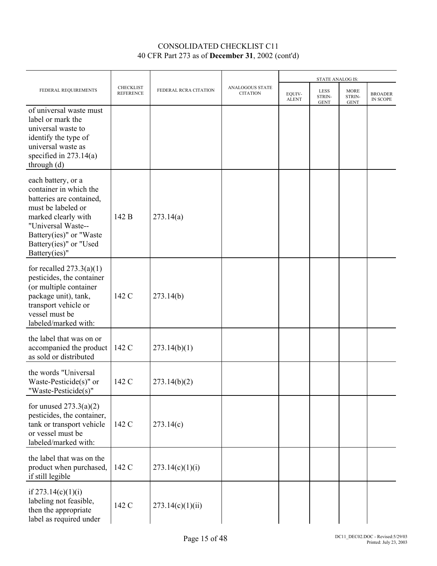|                                                                                                                                                                                                                   |                                      |                       |                                    | STATE ANALOG IS:       |                                      |                                      |                            |
|-------------------------------------------------------------------------------------------------------------------------------------------------------------------------------------------------------------------|--------------------------------------|-----------------------|------------------------------------|------------------------|--------------------------------------|--------------------------------------|----------------------------|
| FEDERAL REQUIREMENTS                                                                                                                                                                                              | <b>CHECKLIST</b><br><b>REFERENCE</b> | FEDERAL RCRA CITATION | ANALOGOUS STATE<br><b>CITATION</b> | EQUIV-<br><b>ALENT</b> | <b>LESS</b><br>STRIN-<br><b>GENT</b> | <b>MORE</b><br>STRIN-<br><b>GENT</b> | <b>BROADER</b><br>IN SCOPE |
| of universal waste must<br>label or mark the<br>universal waste to<br>identify the type of<br>universal waste as<br>specified in $273.14(a)$<br>through $(d)$                                                     |                                      |                       |                                    |                        |                                      |                                      |                            |
| each battery, or a<br>container in which the<br>batteries are contained,<br>must be labeled or<br>marked clearly with<br>"Universal Waste--<br>Battery(ies)" or "Waste<br>Battery(ies)" or "Used<br>Battery(ies)" | 142 B                                | 273.14(a)             |                                    |                        |                                      |                                      |                            |
| for recalled $273.3(a)(1)$<br>pesticides, the container<br>(or multiple container<br>package unit), tank,<br>transport vehicle or<br>vessel must be<br>labeled/marked with:                                       | 142 C                                | 273.14(b)             |                                    |                        |                                      |                                      |                            |
| the label that was on or<br>accompanied the product<br>as sold or distributed                                                                                                                                     | 142 C                                | 273.14(b)(1)          |                                    |                        |                                      |                                      |                            |
| the words "Universal<br>Waste-Pesticide $(s)$ " or<br>Waste-Pesticide(s)"                                                                                                                                         | 142 C                                | 273.14(b)(2)          |                                    |                        |                                      |                                      |                            |
| for unused $273.3(a)(2)$<br>pesticides, the container,<br>tank or transport vehicle<br>or vessel must be<br>labeled/marked with:                                                                                  | 142 C                                | 273.14(c)             |                                    |                        |                                      |                                      |                            |
| the label that was on the<br>product when purchased,<br>if still legible                                                                                                                                          | 142 C                                | 273.14(c)(1)(i)       |                                    |                        |                                      |                                      |                            |
| if $273.14(c)(1)(i)$<br>labeling not feasible,<br>then the appropriate<br>label as required under                                                                                                                 | 142 C                                | 273.14(c)(1)(ii)      |                                    |                        |                                      |                                      |                            |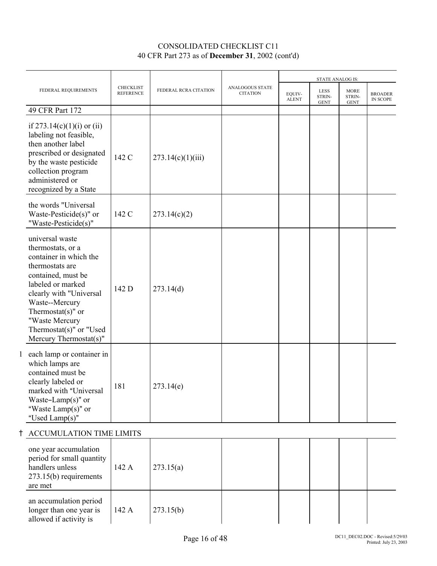|                                                                                                                                                                                                                                                                           |                                      |                       |                                    | STATE ANALOG IS:       |                               |                                      |                            |
|---------------------------------------------------------------------------------------------------------------------------------------------------------------------------------------------------------------------------------------------------------------------------|--------------------------------------|-----------------------|------------------------------------|------------------------|-------------------------------|--------------------------------------|----------------------------|
| FEDERAL REQUIREMENTS                                                                                                                                                                                                                                                      | <b>CHECKLIST</b><br><b>REFERENCE</b> | FEDERAL RCRA CITATION | ANALOGOUS STATE<br><b>CITATION</b> | EOUIV-<br><b>ALENT</b> | LESS<br>STRIN-<br><b>GENT</b> | <b>MORE</b><br>STRIN-<br><b>GENT</b> | <b>BROADER</b><br>IN SCOPE |
| 49 CFR Part 172                                                                                                                                                                                                                                                           |                                      |                       |                                    |                        |                               |                                      |                            |
| if $273.14(c)(1)(i)$ or (ii)<br>labeling not feasible,<br>then another label<br>prescribed or designated<br>by the waste pesticide<br>collection program<br>administered or<br>recognized by a State                                                                      | 142 C                                | 273.14(c)(1)(iii)     |                                    |                        |                               |                                      |                            |
| the words "Universal<br>Waste-Pesticide(s)" or<br>"Waste-Pesticide(s)"                                                                                                                                                                                                    | 142 C                                | 273.14(c)(2)          |                                    |                        |                               |                                      |                            |
| universal waste<br>thermostats, or a<br>container in which the<br>thermostats are<br>contained, must be<br>labeled or marked<br>clearly with "Universal<br>Waste--Mercury<br>Thermostat $(s)$ " or<br>"Waste Mercury<br>Thermostat(s)" or "Used<br>Mercury Thermostat(s)" | 142 D                                | 273.14(d)             |                                    |                        |                               |                                      |                            |
| 1 each lamp or container in<br>which lamps are<br>contained must be<br>clearly labeled or<br>marked with "Universal<br>Waste-Lamp(s)" or<br>"Waste Lamp $(s)$ " or<br>"Used Lamp(s)"                                                                                      | 181                                  | 273.14(e)             |                                    |                        |                               |                                      |                            |
| <b>ACCUMULATION TIME LIMITS</b>                                                                                                                                                                                                                                           |                                      |                       |                                    |                        |                               |                                      |                            |
| one year accumulation<br>period for small quantity<br>handlers unless<br>$273.15(b)$ requirements<br>are met                                                                                                                                                              | 142 A                                | 273.15(a)             |                                    |                        |                               |                                      |                            |
| an accumulation period<br>longer than one year is<br>allowed if activity is                                                                                                                                                                                               | 142 A                                | 273.15(b)             |                                    |                        |                               |                                      |                            |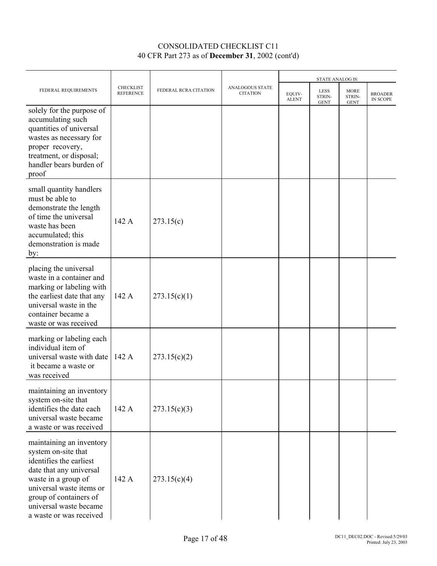|                                                                                                                                                                                                                                         |                                      |                       |                                    |                        | <b>STATE ANALOG IS:</b>              |                                      |                            |
|-----------------------------------------------------------------------------------------------------------------------------------------------------------------------------------------------------------------------------------------|--------------------------------------|-----------------------|------------------------------------|------------------------|--------------------------------------|--------------------------------------|----------------------------|
| FEDERAL REQUIREMENTS                                                                                                                                                                                                                    | <b>CHECKLIST</b><br><b>REFERENCE</b> | FEDERAL RCRA CITATION | ANALOGOUS STATE<br><b>CITATION</b> | EQUIV-<br><b>ALENT</b> | <b>LESS</b><br>STRIN-<br><b>GENT</b> | <b>MORE</b><br>STRIN-<br><b>GENT</b> | <b>BROADER</b><br>IN SCOPE |
| solely for the purpose of<br>accumulating such<br>quantities of universal<br>wastes as necessary for<br>proper recovery,<br>treatment, or disposal;<br>handler bears burden of<br>proof                                                 |                                      |                       |                                    |                        |                                      |                                      |                            |
| small quantity handlers<br>must be able to<br>demonstrate the length<br>of time the universal<br>waste has been<br>accumulated; this<br>demonstration is made<br>by:                                                                    | 142 A                                | 273.15(c)             |                                    |                        |                                      |                                      |                            |
| placing the universal<br>waste in a container and<br>marking or labeling with<br>the earliest date that any<br>universal waste in the<br>container became a<br>waste or was received                                                    | 142 A                                | 273.15(c)(1)          |                                    |                        |                                      |                                      |                            |
| marking or labeling each<br>individual item of<br>universal waste with date<br>it became a waste or<br>was received                                                                                                                     | 142 A                                | 273.15(c)(2)          |                                    |                        |                                      |                                      |                            |
| maintaining an inventory<br>system on-site that<br>identifies the date each<br>universal waste became<br>a waste or was received                                                                                                        | 142 A                                | 273.15(c)(3)          |                                    |                        |                                      |                                      |                            |
| maintaining an inventory<br>system on-site that<br>identifies the earliest<br>date that any universal<br>waste in a group of<br>universal waste items or<br>group of containers of<br>universal waste became<br>a waste or was received | 142 A                                | 273.15(c)(4)          |                                    |                        |                                      |                                      |                            |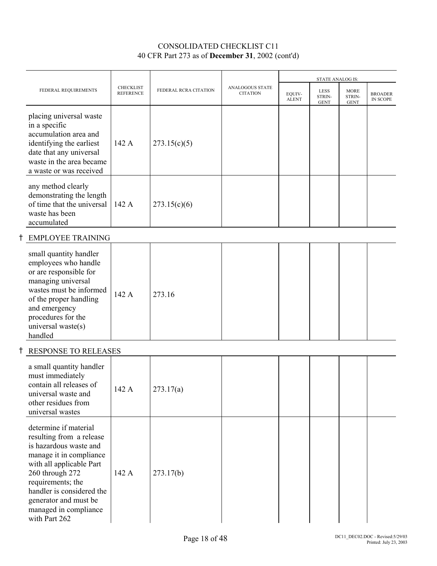|                                                                                                                                                                                                                                                                            |                                      |                       |                                           | <b>STATE ANALOG IS:</b> |                                      |                                      |                                   |
|----------------------------------------------------------------------------------------------------------------------------------------------------------------------------------------------------------------------------------------------------------------------------|--------------------------------------|-----------------------|-------------------------------------------|-------------------------|--------------------------------------|--------------------------------------|-----------------------------------|
| FEDERAL REQUIREMENTS                                                                                                                                                                                                                                                       | <b>CHECKLIST</b><br><b>REFERENCE</b> | FEDERAL RCRA CITATION | <b>ANALOGOUS STATE</b><br><b>CITATION</b> | EOUIV-<br><b>ALENT</b>  | <b>LESS</b><br>STRIN-<br><b>GENT</b> | <b>MORE</b><br>STRIN-<br><b>GENT</b> | <b>BROADER</b><br><b>IN SCOPE</b> |
| placing universal waste<br>in a specific<br>accumulation area and<br>identifying the earliest<br>date that any universal<br>waste in the area became<br>a waste or was received                                                                                            | 142 A                                | 273.15(c)(5)          |                                           |                         |                                      |                                      |                                   |
| any method clearly<br>demonstrating the length<br>of time that the universal<br>waste has been<br>accumulated                                                                                                                                                              | 142 A                                | 273.15(c)(6)          |                                           |                         |                                      |                                      |                                   |
| <b>EMPLOYEE TRAINING</b>                                                                                                                                                                                                                                                   |                                      |                       |                                           |                         |                                      |                                      |                                   |
| small quantity handler<br>employees who handle<br>or are responsible for<br>managing universal<br>wastes must be informed<br>of the proper handling<br>and emergency<br>procedures for the<br>universal waste(s)<br>handled                                                | 142 A                                | 273.16                |                                           |                         |                                      |                                      |                                   |
| <b>RESPONSE TO RELEASES</b>                                                                                                                                                                                                                                                |                                      |                       |                                           |                         |                                      |                                      |                                   |
| a small quantity handler<br>must immediately<br>contain all releases of<br>universal waste and<br>other residues from<br>universal wastes                                                                                                                                  | 142 A                                | 273.17(a)             |                                           |                         |                                      |                                      |                                   |
| determine if material<br>resulting from a release<br>is hazardous waste and<br>manage it in compliance<br>with all applicable Part<br>260 through 272<br>requirements; the<br>handler is considered the<br>generator and must be<br>managed in compliance<br>with Part 262 | 142 A                                | 273.17(b)             |                                           |                         |                                      |                                      |                                   |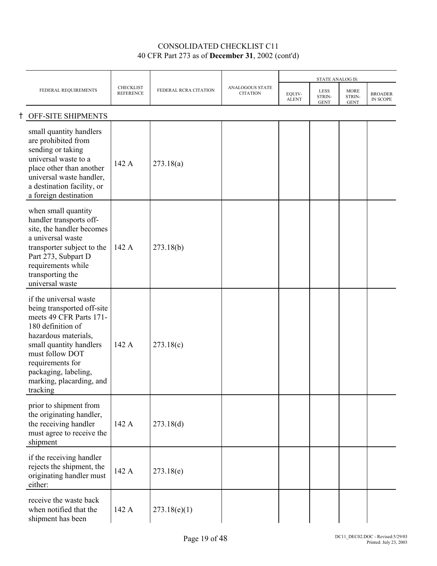|                                                                                                                                                                                                                                                                |                                      |                       |                                           |                        | STATE ANALOG IS:              |                                      |                            |
|----------------------------------------------------------------------------------------------------------------------------------------------------------------------------------------------------------------------------------------------------------------|--------------------------------------|-----------------------|-------------------------------------------|------------------------|-------------------------------|--------------------------------------|----------------------------|
| FEDERAL REQUIREMENTS                                                                                                                                                                                                                                           | <b>CHECKLIST</b><br><b>REFERENCE</b> | FEDERAL RCRA CITATION | <b>ANALOGOUS STATE</b><br><b>CITATION</b> | EQUIV-<br><b>ALENT</b> | LESS<br>STRIN-<br><b>GENT</b> | <b>MORE</b><br>STRIN-<br><b>GENT</b> | <b>BROADER</b><br>IN SCOPE |
| OFF-SITE SHIPMENTS                                                                                                                                                                                                                                             |                                      |                       |                                           |                        |                               |                                      |                            |
| small quantity handlers<br>are prohibited from<br>sending or taking<br>universal waste to a<br>place other than another<br>universal waste handler,<br>a destination facility, or<br>a foreign destination                                                     | 142 A                                | 273.18(a)             |                                           |                        |                               |                                      |                            |
| when small quantity<br>handler transports off-<br>site, the handler becomes<br>a universal waste<br>transporter subject to the<br>Part 273, Subpart D<br>requirements while<br>transporting the<br>universal waste                                             | 142 A                                | 273.18(b)             |                                           |                        |                               |                                      |                            |
| if the universal waste<br>being transported off-site<br>meets 49 CFR Parts 171-<br>180 definition of<br>hazardous materials,<br>small quantity handlers<br>must follow DOT<br>requirements for<br>packaging, labeling,<br>marking, placarding, and<br>tracking | 142 A                                | 273.18(c)             |                                           |                        |                               |                                      |                            |
| prior to shipment from<br>the originating handler,<br>the receiving handler<br>must agree to receive the<br>shipment                                                                                                                                           | 142 A                                | 273.18(d)             |                                           |                        |                               |                                      |                            |
| if the receiving handler<br>rejects the shipment, the<br>originating handler must<br>either:                                                                                                                                                                   | 142 A                                | 273.18(e)             |                                           |                        |                               |                                      |                            |
| receive the waste back<br>when notified that the<br>shipment has been                                                                                                                                                                                          | 142 A                                | 273.18(e)(1)          |                                           |                        |                               |                                      |                            |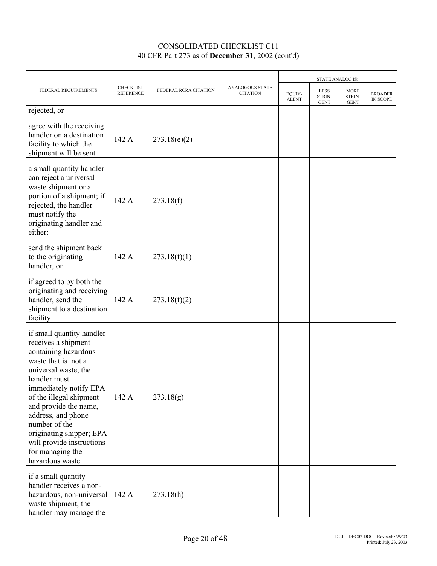|                                                                                                                                                                                                                                                                                                                                                              |                               |                       |                                    |                        | <b>STATE ANALOG IS:</b>              |                               |                            |
|--------------------------------------------------------------------------------------------------------------------------------------------------------------------------------------------------------------------------------------------------------------------------------------------------------------------------------------------------------------|-------------------------------|-----------------------|------------------------------------|------------------------|--------------------------------------|-------------------------------|----------------------------|
| FEDERAL REQUIREMENTS                                                                                                                                                                                                                                                                                                                                         | CHECKLIST<br><b>REFERENCE</b> | FEDERAL RCRA CITATION | ANALOGOUS STATE<br><b>CITATION</b> | EQUIV-<br><b>ALENT</b> | <b>LESS</b><br>STRIN-<br><b>GENT</b> | MORE<br>STRIN-<br><b>GENT</b> | <b>BROADER</b><br>IN SCOPE |
| rejected, or                                                                                                                                                                                                                                                                                                                                                 |                               |                       |                                    |                        |                                      |                               |                            |
| agree with the receiving<br>handler on a destination<br>facility to which the<br>shipment will be sent                                                                                                                                                                                                                                                       | 142 A                         | 273.18(e)(2)          |                                    |                        |                                      |                               |                            |
| a small quantity handler<br>can reject a universal<br>waste shipment or a<br>portion of a shipment; if<br>rejected, the handler<br>must notify the<br>originating handler and<br>either:                                                                                                                                                                     | 142 A                         | 273.18(f)             |                                    |                        |                                      |                               |                            |
| send the shipment back<br>to the originating<br>handler, or                                                                                                                                                                                                                                                                                                  | 142 A                         | 273.18(f)(1)          |                                    |                        |                                      |                               |                            |
| if agreed to by both the<br>originating and receiving<br>handler, send the<br>shipment to a destination<br>facility                                                                                                                                                                                                                                          | 142 A                         | 273.18(f)(2)          |                                    |                        |                                      |                               |                            |
| if small quantity handler<br>receives a shipment<br>containing hazardous<br>waste that is not a<br>universal waste, the<br>handler must<br>immediately notify EPA<br>of the illegal shipment<br>and provide the name,<br>address, and phone<br>number of the<br>originating shipper; EPA<br>will provide instructions<br>for managing the<br>hazardous waste | 142 A                         | 273.18(g)             |                                    |                        |                                      |                               |                            |
| if a small quantity<br>handler receives a non-<br>hazardous, non-universal<br>waste shipment, the<br>handler may manage the                                                                                                                                                                                                                                  | 142 A                         | 273.18(h)             |                                    |                        |                                      |                               |                            |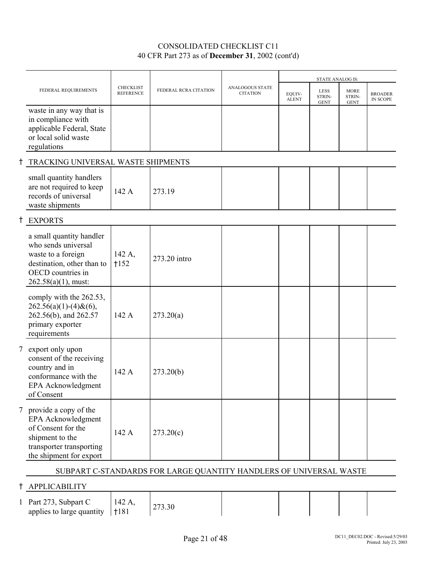|   |                                                                                                                                                    |                                      |                       |                                           |                        | <b>STATE ANALOG IS:</b>              |                                      |                                   |
|---|----------------------------------------------------------------------------------------------------------------------------------------------------|--------------------------------------|-----------------------|-------------------------------------------|------------------------|--------------------------------------|--------------------------------------|-----------------------------------|
|   | FEDERAL REQUIREMENTS                                                                                                                               | <b>CHECKLIST</b><br><b>REFERENCE</b> | FEDERAL RCRA CITATION | <b>ANALOGOUS STATE</b><br><b>CITATION</b> | EQUIV-<br><b>ALENT</b> | <b>LESS</b><br>STRIN-<br><b>GENT</b> | <b>MORE</b><br>STRIN-<br><b>GENT</b> | <b>BROADER</b><br><b>IN SCOPE</b> |
|   | waste in any way that is<br>in compliance with<br>applicable Federal, State<br>or local solid waste<br>regulations                                 |                                      |                       |                                           |                        |                                      |                                      |                                   |
|   | TRACKING UNIVERSAL WASTE SHIPMENTS                                                                                                                 |                                      |                       |                                           |                        |                                      |                                      |                                   |
|   | small quantity handlers<br>are not required to keep<br>records of universal<br>waste shipments                                                     | 142 A                                | 273.19                |                                           |                        |                                      |                                      |                                   |
|   | <b>EXPORTS</b>                                                                                                                                     |                                      |                       |                                           |                        |                                      |                                      |                                   |
|   | a small quantity handler<br>who sends universal<br>waste to a foreign<br>destination, other than to<br>OECD countries in<br>$262.58(a)(1)$ , must: | 142 A,<br>$+152$                     | 273.20 intro          |                                           |                        |                                      |                                      |                                   |
|   | comply with the 262.53,<br>$262.56(a)(1)-(4)$ & $(6)$ ,<br>262.56(b), and 262.57<br>primary exporter<br>requirements                               | 142 A                                | 273.20(a)             |                                           |                        |                                      |                                      |                                   |
| 7 | export only upon<br>consent of the receiving<br>country and in<br>conformance with the<br>EPA Acknowledgment<br>of Consent                         | 142 A                                | 273.20(b)             |                                           |                        |                                      |                                      |                                   |
| 7 | provide a copy of the<br>EPA Acknowledgment<br>of Consent for the<br>shipment to the<br>transporter transporting<br>the shipment for export        | 142 A                                | 273.20(c)             |                                           |                        |                                      |                                      |                                   |

#### SUBPART C-STANDARDS FOR LARGE QUANTITY HANDLERS OF UNIVERSAL WASTE

## H APPLICABILITY

1 Part 273, Subpart C applies to large quantity  $|$  +181 142 A, 273.30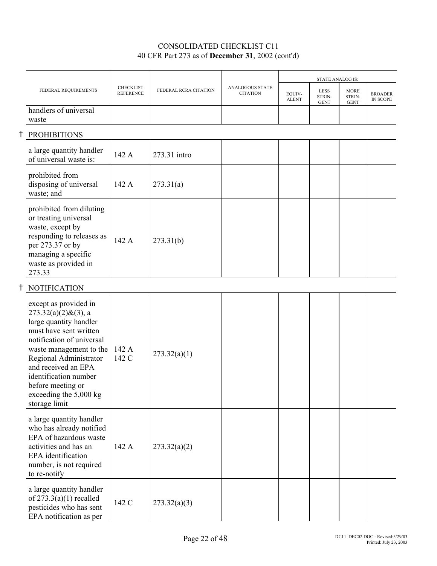|                                                                                                                                                                                                                                                                                                       |                                      |                       |                                           |                        | <b>STATE ANALOG IS:</b>              |                                      |                                   |
|-------------------------------------------------------------------------------------------------------------------------------------------------------------------------------------------------------------------------------------------------------------------------------------------------------|--------------------------------------|-----------------------|-------------------------------------------|------------------------|--------------------------------------|--------------------------------------|-----------------------------------|
| FEDERAL REQUIREMENTS                                                                                                                                                                                                                                                                                  | <b>CHECKLIST</b><br><b>REFERENCE</b> | FEDERAL RCRA CITATION | <b>ANALOGOUS STATE</b><br><b>CITATION</b> | EQUIV-<br><b>ALENT</b> | <b>LESS</b><br>STRIN-<br><b>GENT</b> | <b>MORE</b><br>STRIN-<br><b>GENT</b> | <b>BROADER</b><br><b>IN SCOPE</b> |
| handlers of universal<br>waste                                                                                                                                                                                                                                                                        |                                      |                       |                                           |                        |                                      |                                      |                                   |
| <b>PROHIBITIONS</b>                                                                                                                                                                                                                                                                                   |                                      |                       |                                           |                        |                                      |                                      |                                   |
| a large quantity handler<br>of universal waste is:                                                                                                                                                                                                                                                    | 142 A                                | 273.31 intro          |                                           |                        |                                      |                                      |                                   |
| prohibited from<br>disposing of universal<br>waste; and                                                                                                                                                                                                                                               | 142 A                                | 273.31(a)             |                                           |                        |                                      |                                      |                                   |
| prohibited from diluting<br>or treating universal<br>waste, except by<br>responding to releases as<br>per 273.37 or by<br>managing a specific<br>waste as provided in<br>273.33                                                                                                                       | 142 A                                | 273.31(b)             |                                           |                        |                                      |                                      |                                   |
| <b>NOTIFICATION</b>                                                                                                                                                                                                                                                                                   |                                      |                       |                                           |                        |                                      |                                      |                                   |
| except as provided in<br>$273.32(a)(2)$ &(3), a<br>large quantity handler<br>must have sent written<br>notification of universal<br>waste management to the<br>Regional Administrator<br>and received an EPA<br>identification number<br>before meeting or<br>exceeding the 5,000 kg<br>storage limit | 142 A<br>142 C                       | 273.32(a)(1)          |                                           |                        |                                      |                                      |                                   |
| a large quantity handler<br>who has already notified<br>EPA of hazardous waste<br>activities and has an<br>EPA identification<br>number, is not required<br>to re-notify                                                                                                                              | 142 A                                | 273.32(a)(2)          |                                           |                        |                                      |                                      |                                   |
| a large quantity handler<br>of $273.3(a)(1)$ recalled<br>pesticides who has sent<br>EPA notification as per                                                                                                                                                                                           | 142 C                                | 273.32(a)(3)          |                                           |                        |                                      |                                      |                                   |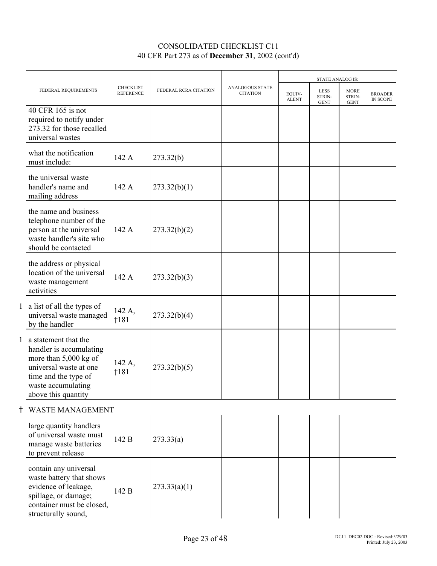|                                                                                                                                                                             |                                      |                       |                                    | <b>STATE ANALOG IS:</b> |                                      |                                      |                                   |
|-----------------------------------------------------------------------------------------------------------------------------------------------------------------------------|--------------------------------------|-----------------------|------------------------------------|-------------------------|--------------------------------------|--------------------------------------|-----------------------------------|
| FEDERAL REQUIREMENTS                                                                                                                                                        | <b>CHECKLIST</b><br><b>REFERENCE</b> | FEDERAL RCRA CITATION | ANALOGOUS STATE<br><b>CITATION</b> | EQUIV-<br><b>ALENT</b>  | <b>LESS</b><br>STRIN-<br><b>GENT</b> | <b>MORE</b><br>STRIN-<br><b>GENT</b> | <b>BROADER</b><br><b>IN SCOPE</b> |
| 40 CFR 165 is not<br>required to notify under<br>273.32 for those recalled<br>universal wastes                                                                              |                                      |                       |                                    |                         |                                      |                                      |                                   |
| what the notification<br>must include:                                                                                                                                      | 142 A                                | 273.32(b)             |                                    |                         |                                      |                                      |                                   |
| the universal waste<br>handler's name and<br>mailing address                                                                                                                | 142 A                                | 273.32(b)(1)          |                                    |                         |                                      |                                      |                                   |
| the name and business<br>telephone number of the<br>person at the universal<br>waste handler's site who<br>should be contacted                                              | 142 A                                | 273.32(b)(2)          |                                    |                         |                                      |                                      |                                   |
| the address or physical<br>location of the universal<br>waste management<br>activities                                                                                      | 142 A                                | 273.32(b)(3)          |                                    |                         |                                      |                                      |                                   |
| 1 a list of all the types of<br>universal waste managed<br>by the handler                                                                                                   | 142 A,<br>1181                       | 273.32(b)(4)          |                                    |                         |                                      |                                      |                                   |
| 1 a statement that the<br>handler is accumulating<br>more than $5,000$ kg of<br>universal waste at one<br>time and the type of<br>waste accumulating<br>above this quantity | 142 A,<br>†181                       | 273.32(b)(5)          |                                    |                         |                                      |                                      |                                   |
| WASTE MANAGEMENT                                                                                                                                                            |                                      |                       |                                    |                         |                                      |                                      |                                   |
| large quantity handlers<br>of universal waste must<br>manage waste batteries<br>to prevent release                                                                          | 142 B                                | 273.33(a)             |                                    |                         |                                      |                                      |                                   |
| contain any universal<br>waste battery that shows<br>evidence of leakage,<br>spillage, or damage;<br>container must be closed,<br>structurally sound,                       | 142 B                                | 273.33(a)(1)          |                                    |                         |                                      |                                      |                                   |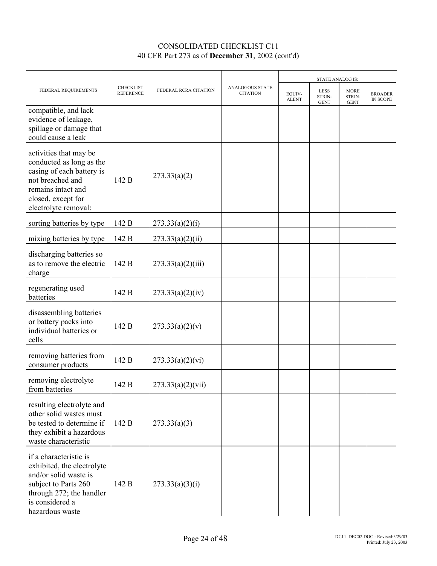|                                                                                                                                                                         |                                      |                       |                                           |                        | <b>STATE ANALOG IS:</b>              |                                      |                            |
|-------------------------------------------------------------------------------------------------------------------------------------------------------------------------|--------------------------------------|-----------------------|-------------------------------------------|------------------------|--------------------------------------|--------------------------------------|----------------------------|
| FEDERAL REQUIREMENTS                                                                                                                                                    | <b>CHECKLIST</b><br><b>REFERENCE</b> | FEDERAL RCRA CITATION | <b>ANALOGOUS STATE</b><br><b>CITATION</b> | EOUIV-<br><b>ALENT</b> | <b>LESS</b><br>STRIN-<br><b>GENT</b> | <b>MORE</b><br>STRIN-<br><b>GENT</b> | <b>BROADER</b><br>IN SCOPE |
| compatible, and lack<br>evidence of leakage,<br>spillage or damage that<br>could cause a leak                                                                           |                                      |                       |                                           |                        |                                      |                                      |                            |
| activities that may be<br>conducted as long as the<br>casing of each battery is<br>not breached and<br>remains intact and<br>closed, except for<br>electrolyte removal: | 142 B                                | 273.33(a)(2)          |                                           |                        |                                      |                                      |                            |
| sorting batteries by type                                                                                                                                               | 142 B                                | 273.33(a)(2)(i)       |                                           |                        |                                      |                                      |                            |
| mixing batteries by type                                                                                                                                                | 142 B                                | 273.33(a)(2)(ii)      |                                           |                        |                                      |                                      |                            |
| discharging batteries so<br>as to remove the electric<br>charge                                                                                                         | 142 B                                | 273.33(a)(2)(iii)     |                                           |                        |                                      |                                      |                            |
| regenerating used<br>batteries                                                                                                                                          | 142 B                                | 273.33(a)(2)(iv)      |                                           |                        |                                      |                                      |                            |
| disassembling batteries<br>or battery packs into<br>individual batteries or<br>cells                                                                                    | 142 B                                | 273.33(a)(2)(v)       |                                           |                        |                                      |                                      |                            |
| removing batteries from<br>consumer products                                                                                                                            | 142 B                                | 273.33(a)(2)(vi)      |                                           |                        |                                      |                                      |                            |
| removing electrolyte<br>from batteries                                                                                                                                  | 142 B                                | 273.33(a)(2)(vii)     |                                           |                        |                                      |                                      |                            |
| resulting electrolyte and<br>other solid wastes must<br>be tested to determine if<br>they exhibit a hazardous<br>waste characteristic                                   | 142 B                                | 273.33(a)(3)          |                                           |                        |                                      |                                      |                            |
| if a characteristic is<br>exhibited, the electrolyte<br>and/or solid waste is<br>subject to Parts 260<br>through 272; the handler<br>is considered a<br>hazardous waste | 142 B                                | 273.33(a)(3)(i)       |                                           |                        |                                      |                                      |                            |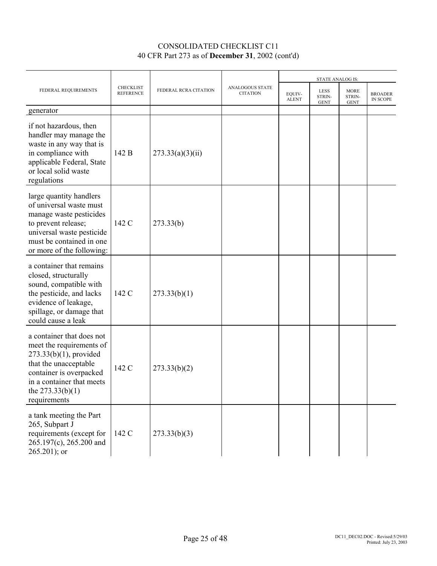|                                                                                                                                                                                                           |                                      |                       |                                    |                        | <b>STATE ANALOG IS:</b>              |                                      |                            |
|-----------------------------------------------------------------------------------------------------------------------------------------------------------------------------------------------------------|--------------------------------------|-----------------------|------------------------------------|------------------------|--------------------------------------|--------------------------------------|----------------------------|
| FEDERAL REQUIREMENTS                                                                                                                                                                                      | <b>CHECKLIST</b><br><b>REFERENCE</b> | FEDERAL RCRA CITATION | ANALOGOUS STATE<br><b>CITATION</b> | EQUIV-<br><b>ALENT</b> | <b>LESS</b><br>STRIN-<br><b>GENT</b> | <b>MORE</b><br>STRIN-<br><b>GENT</b> | <b>BROADER</b><br>IN SCOPE |
| generator                                                                                                                                                                                                 |                                      |                       |                                    |                        |                                      |                                      |                            |
| if not hazardous, then<br>handler may manage the<br>waste in any way that is<br>in compliance with<br>applicable Federal, State<br>or local solid waste<br>regulations                                    | 142 B                                | 273.33(a)(3)(ii)      |                                    |                        |                                      |                                      |                            |
| large quantity handlers<br>of universal waste must<br>manage waste pesticides<br>to prevent release;<br>universal waste pesticide<br>must be contained in one<br>or more of the following:                | 142 C                                | 273.33(b)             |                                    |                        |                                      |                                      |                            |
| a container that remains<br>closed, structurally<br>sound, compatible with<br>the pesticide, and lacks<br>evidence of leakage,<br>spillage, or damage that<br>could cause a leak                          | 142 C                                | 273.33(b)(1)          |                                    |                        |                                      |                                      |                            |
| a container that does not<br>meet the requirements of<br>$273.33(b)(1)$ , provided<br>that the unacceptable<br>container is overpacked<br>in a container that meets<br>the $273.33(b)(1)$<br>requirements | 142 C                                | 273.33(b)(2)          |                                    |                        |                                      |                                      |                            |
| a tank meeting the Part<br>265, Subpart J<br>requirements (except for<br>265.197(c), 265.200 and<br>$265.201$ ; or                                                                                        | 142 C                                | 273.33(b)(3)          |                                    |                        |                                      |                                      |                            |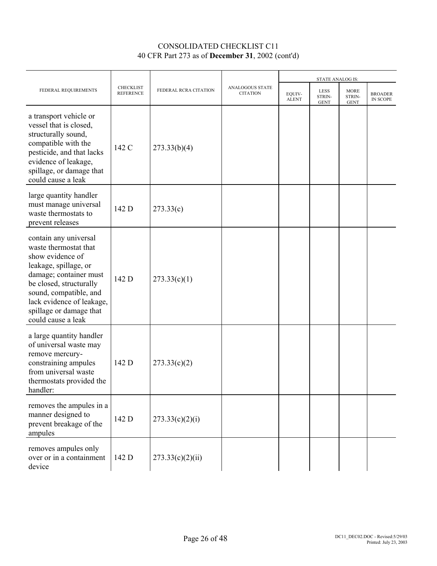|                                                                                                                                                                                                                                                          |                                      |                       |                                    |                        | <b>STATE ANALOG IS:</b>       |                               |                            |
|----------------------------------------------------------------------------------------------------------------------------------------------------------------------------------------------------------------------------------------------------------|--------------------------------------|-----------------------|------------------------------------|------------------------|-------------------------------|-------------------------------|----------------------------|
| FEDERAL REQUIREMENTS                                                                                                                                                                                                                                     | <b>CHECKLIST</b><br><b>REFERENCE</b> | FEDERAL RCRA CITATION | ANALOGOUS STATE<br><b>CITATION</b> | EQUIV-<br><b>ALENT</b> | LESS<br>STRIN-<br><b>GENT</b> | MORE<br>STRIN-<br><b>GENT</b> | <b>BROADER</b><br>IN SCOPE |
| a transport vehicle or<br>vessel that is closed,<br>structurally sound,<br>compatible with the<br>pesticide, and that lacks<br>evidence of leakage,<br>spillage, or damage that<br>could cause a leak                                                    | 142 C                                | 273.33(b)(4)          |                                    |                        |                               |                               |                            |
| large quantity handler<br>must manage universal<br>waste thermostats to<br>prevent releases                                                                                                                                                              | 142 D                                | 273.33(c)             |                                    |                        |                               |                               |                            |
| contain any universal<br>waste thermostat that<br>show evidence of<br>leakage, spillage, or<br>damage; container must<br>be closed, structurally<br>sound, compatible, and<br>lack evidence of leakage,<br>spillage or damage that<br>could cause a leak | 142 D                                | 273.33(c)(1)          |                                    |                        |                               |                               |                            |
| a large quantity handler<br>of universal waste may<br>remove mercury-<br>constraining ampules<br>from universal waste<br>thermostats provided the<br>handler:                                                                                            | 142 D                                | 273.33(c)(2)          |                                    |                        |                               |                               |                            |
| removes the ampules in a<br>manner designed to<br>prevent breakage of the<br>ampules                                                                                                                                                                     | 142 D                                | 273.33(c)(2)(i)       |                                    |                        |                               |                               |                            |
| removes ampules only<br>over or in a containment<br>device                                                                                                                                                                                               | 142 D                                | 273.33(c)(2)(ii)      |                                    |                        |                               |                               |                            |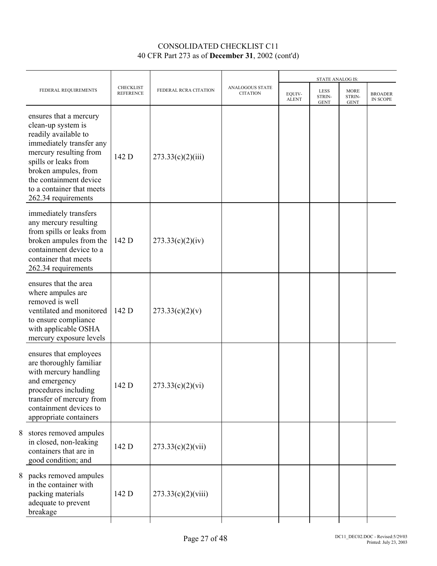| FEDERAL REQUIREMENTS                                                                                                                                                                                                                                     | <b>CHECKLIST</b><br><b>REFERENCE</b> | FEDERAL RCRA CITATION | <b>ANALOGOUS STATE</b><br><b>CITATION</b> | EOUIV-<br><b>ALENT</b> | STATE ANALOG IS:<br><b>LESS</b><br>STRIN-<br><b>GENT</b> | <b>MORE</b><br>STRIN-<br><b>GENT</b> | <b>BROADER</b><br>IN SCOPE |
|----------------------------------------------------------------------------------------------------------------------------------------------------------------------------------------------------------------------------------------------------------|--------------------------------------|-----------------------|-------------------------------------------|------------------------|----------------------------------------------------------|--------------------------------------|----------------------------|
| ensures that a mercury<br>clean-up system is<br>readily available to<br>immediately transfer any<br>mercury resulting from<br>spills or leaks from<br>broken ampules, from<br>the containment device<br>to a container that meets<br>262.34 requirements | 142 D                                | 273.33(c)(2)(iii)     |                                           |                        |                                                          |                                      |                            |
| immediately transfers<br>any mercury resulting<br>from spills or leaks from<br>broken ampules from the<br>containment device to a<br>container that meets<br>262.34 requirements                                                                         | 142 D                                | 273.33(c)(2)(iv)      |                                           |                        |                                                          |                                      |                            |
| ensures that the area<br>where ampules are<br>removed is well<br>ventilated and monitored<br>to ensure compliance<br>with applicable OSHA<br>mercury exposure levels                                                                                     | 142 D                                | 273.33(c)(2)(v)       |                                           |                        |                                                          |                                      |                            |
| ensures that employees<br>are thoroughly familiar<br>with mercury handling<br>and emergency<br>procedures including<br>transfer of mercury from<br>containment devices to<br>appropriate containers                                                      | 142 D                                | 273.33(c)(2)(vi)      |                                           |                        |                                                          |                                      |                            |
| 8 stores removed ampules<br>in closed, non-leaking<br>containers that are in<br>good condition; and                                                                                                                                                      | 142 D                                | 273.33(c)(2)(vii)     |                                           |                        |                                                          |                                      |                            |
| 8 packs removed ampules<br>in the container with<br>packing materials<br>adequate to prevent<br>breakage                                                                                                                                                 | 142 D                                | 273.33(c)(2)(viii)    |                                           |                        |                                                          |                                      |                            |
|                                                                                                                                                                                                                                                          |                                      |                       |                                           |                        |                                                          |                                      |                            |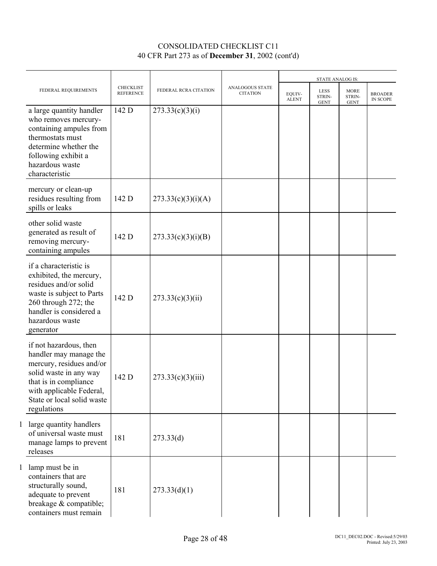|                                                                                                                                                                                                          |                                      |                       |                                           |                        | <b>STATE ANALOG IS:</b>              |                                      |                            |
|----------------------------------------------------------------------------------------------------------------------------------------------------------------------------------------------------------|--------------------------------------|-----------------------|-------------------------------------------|------------------------|--------------------------------------|--------------------------------------|----------------------------|
| FEDERAL REQUIREMENTS                                                                                                                                                                                     | <b>CHECKLIST</b><br><b>REFERENCE</b> | FEDERAL RCRA CITATION | <b>ANALOGOUS STATE</b><br><b>CITATION</b> | EOUIV-<br><b>ALENT</b> | <b>LESS</b><br>STRIN-<br><b>GENT</b> | <b>MORE</b><br>STRIN-<br><b>GENT</b> | <b>BROADER</b><br>IN SCOPE |
| a large quantity handler<br>who removes mercury-<br>containing ampules from<br>thermostats must<br>determine whether the<br>following exhibit a<br>hazardous waste<br>characteristic                     | 142 D                                | 273.33(c)(3)(i)       |                                           |                        |                                      |                                      |                            |
| mercury or clean-up<br>residues resulting from<br>spills or leaks                                                                                                                                        | 142 D                                | 273.33(c)(3)(i)(A)    |                                           |                        |                                      |                                      |                            |
| other solid waste<br>generated as result of<br>removing mercury-<br>containing ampules                                                                                                                   | 142 D                                | 273.33(c)(3)(i)(B)    |                                           |                        |                                      |                                      |                            |
| if a characteristic is<br>exhibited, the mercury,<br>residues and/or solid<br>waste is subject to Parts<br>260 through 272; the<br>handler is considered a<br>hazardous waste<br>generator               | 142 D                                | 273.33(c)(3)(ii)      |                                           |                        |                                      |                                      |                            |
| if not hazardous, then<br>handler may manage the<br>mercury, residues and/or<br>solid waste in any way<br>that is in compliance<br>with applicable Federal,<br>State or local solid waste<br>regulations | 142 D                                | 273.33(c)(3)(iii)     |                                           |                        |                                      |                                      |                            |
| 1 large quantity handlers<br>of universal waste must<br>manage lamps to prevent<br>releases                                                                                                              | 181                                  | 273.33(d)             |                                           |                        |                                      |                                      |                            |
| 1 lamp must be in<br>containers that are<br>structurally sound,<br>adequate to prevent<br>breakage & compatible;<br>containers must remain                                                               | 181                                  | 273.33(d)(1)          |                                           |                        |                                      |                                      |                            |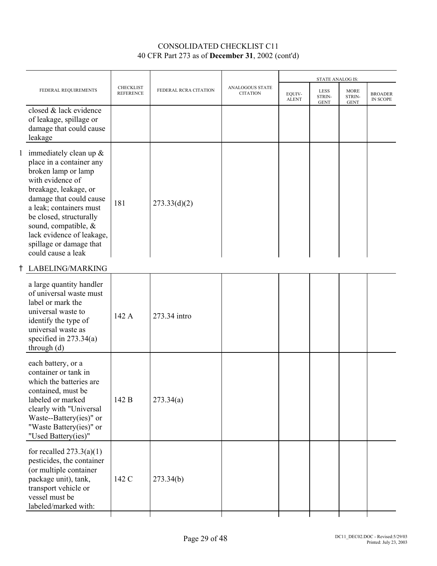| FEDERAL REQUIREMENTS                                                                                                                                                                                                                                                                | <b>CHECKLIST</b><br><b>REFERENCE</b>                                                               | FEDERAL RCRA CITATION | <b>ANALOGOUS STATE</b><br><b>CITATION</b> | EQUIV-<br><b>ALENT</b> | <b>LESS</b><br>STRIN- | <b>MORE</b><br>STRIN- | <b>BROADER</b><br>IN SCOPE             |
|-------------------------------------------------------------------------------------------------------------------------------------------------------------------------------------------------------------------------------------------------------------------------------------|----------------------------------------------------------------------------------------------------|-----------------------|-------------------------------------------|------------------------|-----------------------|-----------------------|----------------------------------------|
| closed & lack evidence<br>of leakage, spillage or<br>damage that could cause                                                                                                                                                                                                        |                                                                                                    |                       |                                           |                        |                       |                       |                                        |
| place in a container any<br>broken lamp or lamp<br>with evidence of<br>breakage, leakage, or<br>damage that could cause<br>a leak; containers must<br>be closed, structurally<br>sound, compatible, &<br>lack evidence of leakage,<br>spillage or damage that<br>could cause a leak | 181                                                                                                | 273.33(d)(2)          |                                           |                        |                       |                       |                                        |
|                                                                                                                                                                                                                                                                                     |                                                                                                    |                       |                                           |                        |                       |                       |                                        |
| a large quantity handler<br>of universal waste must<br>label or mark the<br>universal waste to<br>identify the type of<br>universal waste as<br>specified in $273.34(a)$                                                                                                            | 142 A                                                                                              | 273.34 intro          |                                           |                        |                       |                       |                                        |
| each battery, or a<br>container or tank in<br>which the batteries are<br>contained, must be<br>labeled or marked<br>clearly with "Universal<br>Waste--Battery(ies)" or<br>"Waste Battery(ies)" or<br>"Used Battery(ies)"                                                            | 142 B                                                                                              | 273.34(a)             |                                           |                        |                       |                       |                                        |
| for recalled $273.3(a)(1)$<br>pesticides, the container<br>(or multiple container<br>package unit), tank,<br>transport vehicle or<br>vessel must be                                                                                                                                 | 142 C                                                                                              | 273.34(b)             |                                           |                        |                       |                       |                                        |
|                                                                                                                                                                                                                                                                                     | leakage<br>1 immediately clean up $&$<br>LABELING/MARKING<br>through $(d)$<br>labeled/marked with: |                       |                                           |                        |                       | <b>GENT</b>           | <b>STATE ANALOG IS:</b><br><b>GENT</b> |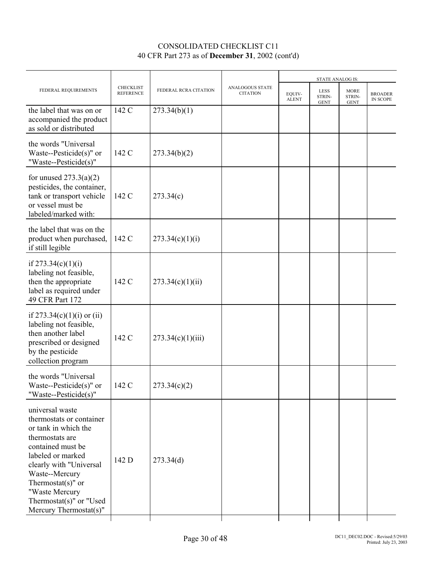|                                                                                                                                                                                                                                                                               |                                      |                       |                                    |                        | STATE ANALOG IS:                     |                                      |                            |
|-------------------------------------------------------------------------------------------------------------------------------------------------------------------------------------------------------------------------------------------------------------------------------|--------------------------------------|-----------------------|------------------------------------|------------------------|--------------------------------------|--------------------------------------|----------------------------|
| FEDERAL REQUIREMENTS                                                                                                                                                                                                                                                          | <b>CHECKLIST</b><br><b>REFERENCE</b> | FEDERAL RCRA CITATION | ANALOGOUS STATE<br><b>CITATION</b> | EQUIV-<br><b>ALENT</b> | <b>LESS</b><br>STRIN-<br><b>GENT</b> | <b>MORE</b><br>STRIN-<br><b>GENT</b> | <b>BROADER</b><br>IN SCOPE |
| the label that was on or<br>accompanied the product<br>as sold or distributed                                                                                                                                                                                                 | 142 C                                | 273.34(b)(1)          |                                    |                        |                                      |                                      |                            |
| the words "Universal<br>Waste--Pesticide $(s)$ " or<br>"Waste--Pesticide(s)"                                                                                                                                                                                                  | 142 C                                | 273.34(b)(2)          |                                    |                        |                                      |                                      |                            |
| for unused $273.3(a)(2)$<br>pesticides, the container,<br>tank or transport vehicle<br>or vessel must be<br>labeled/marked with:                                                                                                                                              | 142 C                                | 273.34(c)             |                                    |                        |                                      |                                      |                            |
| the label that was on the<br>product when purchased,<br>if still legible                                                                                                                                                                                                      | 142 C                                | 273.34(c)(1)(i)       |                                    |                        |                                      |                                      |                            |
| if $273.34(c)(1)(i)$<br>labeling not feasible,<br>then the appropriate<br>label as required under<br>49 CFR Part 172                                                                                                                                                          | 142 C                                | 273.34(c)(1)(ii)      |                                    |                        |                                      |                                      |                            |
| if $273.34(c)(1)(i)$ or (ii)<br>labeling not feasible,<br>then another label<br>prescribed or designed<br>by the pesticide<br>collection program                                                                                                                              | 142 C                                | 273.34(c)(1)(iii)     |                                    |                        |                                      |                                      |                            |
| the words "Universal<br>Waste--Pesticide $(s)$ " or<br>"Waste--Pesticide(s)"                                                                                                                                                                                                  | 142 C                                | 273.34(c)(2)          |                                    |                        |                                      |                                      |                            |
| universal waste<br>thermostats or container<br>or tank in which the<br>thermostats are<br>contained must be<br>labeled or marked<br>clearly with "Universal<br>Waste--Mercury<br>Thermostat $(s)$ " or<br>"Waste Mercury<br>Thermostat(s)" or "Used<br>Mercury Thermostat(s)" | 142 D                                | 273.34(d)             |                                    |                        |                                      |                                      |                            |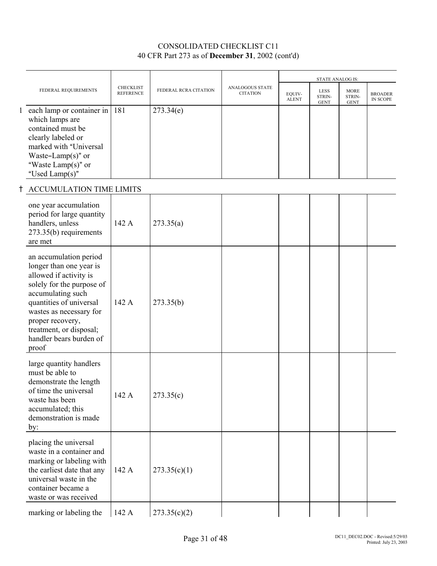|                                                                                                                                                                                                                                                                        |                                      |                       |                                           |                        | STATE ANALOG IS:                     |                                      |                            |
|------------------------------------------------------------------------------------------------------------------------------------------------------------------------------------------------------------------------------------------------------------------------|--------------------------------------|-----------------------|-------------------------------------------|------------------------|--------------------------------------|--------------------------------------|----------------------------|
| FEDERAL REQUIREMENTS                                                                                                                                                                                                                                                   | <b>CHECKLIST</b><br><b>REFERENCE</b> | FEDERAL RCRA CITATION | <b>ANALOGOUS STATE</b><br><b>CITATION</b> | EQUIV-<br><b>ALENT</b> | <b>LESS</b><br>STRIN-<br><b>GENT</b> | <b>MORE</b><br>STRIN-<br><b>GENT</b> | <b>BROADER</b><br>IN SCOPE |
| 1 each lamp or container in<br>which lamps are<br>contained must be<br>clearly labeled or<br>marked with "Universal<br>Waste-Lamp(s)" or<br>"Waste Lamp $(s)$ " or<br>"Used Lamp(s)"                                                                                   | 181                                  | 273.34(e)             |                                           |                        |                                      |                                      |                            |
| ACCUMULATION TIME LIMITS                                                                                                                                                                                                                                               |                                      |                       |                                           |                        |                                      |                                      |                            |
| one year accumulation<br>period for large quantity<br>handlers, unless<br>273.35(b) requirements<br>are met                                                                                                                                                            | 142 A                                | 273.35(a)             |                                           |                        |                                      |                                      |                            |
| an accumulation period<br>longer than one year is<br>allowed if activity is<br>solely for the purpose of<br>accumulating such<br>quantities of universal<br>wastes as necessary for<br>proper recovery,<br>treatment, or disposal;<br>handler bears burden of<br>proof | 142 A                                | 273.35(b)             |                                           |                        |                                      |                                      |                            |
| large quantity handlers<br>must be able to<br>demonstrate the length<br>of time the universal<br>waste has been<br>accumulated; this<br>demonstration is made<br>by:                                                                                                   | 142 A                                | 273.35(c)             |                                           |                        |                                      |                                      |                            |
| placing the universal<br>waste in a container and<br>marking or labeling with<br>the earliest date that any<br>universal waste in the<br>container became a<br>waste or was received                                                                                   | 142 A                                | 273.35(c)(1)          |                                           |                        |                                      |                                      |                            |
| marking or labeling the                                                                                                                                                                                                                                                | 142 A                                | 273.35(c)(2)          |                                           |                        |                                      |                                      |                            |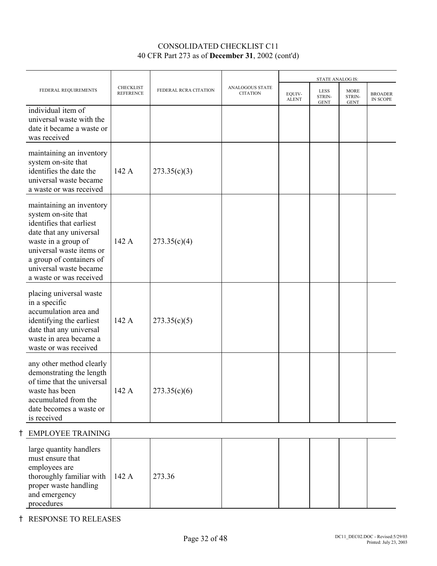|                                                                                                                                                                                                                                            |                                      |                       |                                           |                        | STATE ANALOG IS:                     |                                      |                                   |
|--------------------------------------------------------------------------------------------------------------------------------------------------------------------------------------------------------------------------------------------|--------------------------------------|-----------------------|-------------------------------------------|------------------------|--------------------------------------|--------------------------------------|-----------------------------------|
| FEDERAL REQUIREMENTS                                                                                                                                                                                                                       | <b>CHECKLIST</b><br><b>REFERENCE</b> | FEDERAL RCRA CITATION | <b>ANALOGOUS STATE</b><br><b>CITATION</b> | EQUIV-<br><b>ALENT</b> | <b>LESS</b><br>STRIN-<br><b>GENT</b> | <b>MORE</b><br>STRIN-<br><b>GENT</b> | <b>BROADER</b><br><b>IN SCOPE</b> |
| individual item of<br>universal waste with the<br>date it became a waste or<br>was received                                                                                                                                                |                                      |                       |                                           |                        |                                      |                                      |                                   |
| maintaining an inventory<br>system on-site that<br>identifies the date the<br>universal waste became<br>a waste or was received                                                                                                            | 142 A                                | 273.35(c)(3)          |                                           |                        |                                      |                                      |                                   |
| maintaining an inventory<br>system on-site that<br>identifies that earliest<br>date that any universal<br>waste in a group of<br>universal waste items or<br>a group of containers of<br>universal waste became<br>a waste or was received | 142 A                                | 273.35(c)(4)          |                                           |                        |                                      |                                      |                                   |
| placing universal waste<br>in a specific<br>accumulation area and<br>identifying the earliest<br>date that any universal<br>waste in area became a<br>waste or was received                                                                | 142 A                                | 273.35(c)(5)          |                                           |                        |                                      |                                      |                                   |
| any other method clearly<br>demonstrating the length<br>of time that the universal<br>waste has been<br>accumulated from the<br>date becomes a waste or<br>is received                                                                     | 142 A                                | 273.35(c)(6)          |                                           |                        |                                      |                                      |                                   |
| <b>EMPLOYEE TRAINING</b><br>ϯ                                                                                                                                                                                                              |                                      |                       |                                           |                        |                                      |                                      |                                   |
| large quantity handlers<br>must ensure that<br>employees are<br>thoroughly familiar with<br>proper waste handling<br>and emergency<br>procedures                                                                                           | 142 A                                | 273.36                |                                           |                        |                                      |                                      |                                   |

H RESPONSE TO RELEASES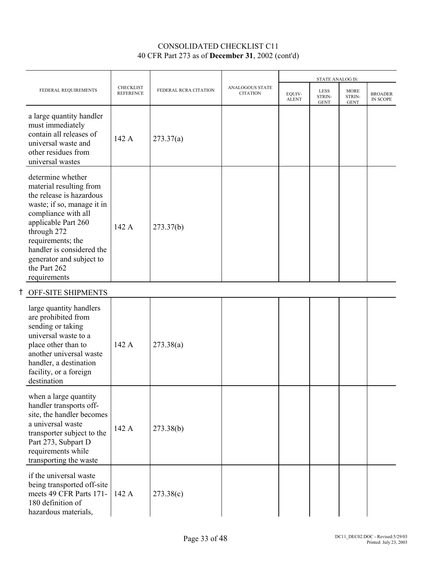| FEDERAL REQUIREMENTS                                                                                                                                                                                                                                                              | <b>CHECKLIST</b><br><b>REFERENCE</b> | FEDERAL RCRA CITATION | <b>ANALOGOUS STATE</b><br><b>CITATION</b> | EQUIV-<br><b>ALENT</b> | STATE ANALOG IS:<br>LESS<br>STRIN-<br><b>GENT</b> | <b>MORE</b><br>STRIN-<br><b>GENT</b> | <b>BROADER</b><br><b>IN SCOPE</b> |
|-----------------------------------------------------------------------------------------------------------------------------------------------------------------------------------------------------------------------------------------------------------------------------------|--------------------------------------|-----------------------|-------------------------------------------|------------------------|---------------------------------------------------|--------------------------------------|-----------------------------------|
| a large quantity handler<br>must immediately<br>contain all releases of<br>universal waste and<br>other residues from<br>universal wastes                                                                                                                                         | 142 A                                | 273.37(a)             |                                           |                        |                                                   |                                      |                                   |
| determine whether<br>material resulting from<br>the release is hazardous<br>waste; if so, manage it in<br>compliance with all<br>applicable Part 260<br>through 272<br>requirements; the<br>handler is considered the<br>generator and subject to<br>the Part 262<br>requirements | 142 A                                | 273.37(b)             |                                           |                        |                                                   |                                      |                                   |
| OFF-SITE SHIPMENTS                                                                                                                                                                                                                                                                |                                      |                       |                                           |                        |                                                   |                                      |                                   |
| large quantity handlers<br>are prohibited from<br>sending or taking<br>universal waste to a<br>place other than to<br>another universal waste<br>handler, a destination<br>facility, or a foreign<br>destination                                                                  | 142 A                                | 273.38(a)             |                                           |                        |                                                   |                                      |                                   |
| when a large quantity<br>handler transports off-<br>site, the handler becomes<br>a universal waste<br>transporter subject to the<br>Part 273, Subpart D<br>requirements while<br>transporting the waste                                                                           | 142 A                                | 273.38(b)             |                                           |                        |                                                   |                                      |                                   |
| if the universal waste<br>being transported off-site<br>meets 49 CFR Parts 171-<br>180 definition of<br>hazardous materials,                                                                                                                                                      | 142 A                                | 273.38(c)             |                                           |                        |                                                   |                                      |                                   |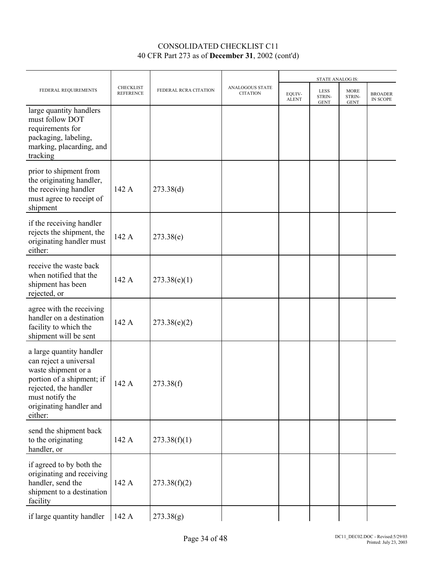|                                                                                                                                                                                          |                               |                       |                                    |                        | STATE ANALOG IS:                     |                                      |                            |
|------------------------------------------------------------------------------------------------------------------------------------------------------------------------------------------|-------------------------------|-----------------------|------------------------------------|------------------------|--------------------------------------|--------------------------------------|----------------------------|
| FEDERAL REQUIREMENTS                                                                                                                                                                     | CHECKLIST<br><b>REFERENCE</b> | FEDERAL RCRA CITATION | ANALOGOUS STATE<br><b>CITATION</b> | EOUIV-<br><b>ALENT</b> | <b>LESS</b><br>STRIN-<br><b>GENT</b> | <b>MORE</b><br>STRIN-<br><b>GENT</b> | <b>BROADER</b><br>IN SCOPE |
| large quantity handlers<br>must follow DOT<br>requirements for<br>packaging, labeling,<br>marking, placarding, and<br>tracking                                                           |                               |                       |                                    |                        |                                      |                                      |                            |
| prior to shipment from<br>the originating handler,<br>the receiving handler<br>must agree to receipt of<br>shipment                                                                      | 142 A                         | 273.38(d)             |                                    |                        |                                      |                                      |                            |
| if the receiving handler<br>rejects the shipment, the<br>originating handler must<br>either:                                                                                             | 142 A                         | 273.38(e)             |                                    |                        |                                      |                                      |                            |
| receive the waste back<br>when notified that the<br>shipment has been<br>rejected, or                                                                                                    | 142 A                         | 273.38(e)(1)          |                                    |                        |                                      |                                      |                            |
| agree with the receiving<br>handler on a destination<br>facility to which the<br>shipment will be sent                                                                                   | 142 A                         | 273.38(e)(2)          |                                    |                        |                                      |                                      |                            |
| a large quantity handler<br>can reject a universal<br>waste shipment or a<br>portion of a shipment; if<br>rejected, the handler<br>must notify the<br>originating handler and<br>either: | 142 A                         | 273.38(f)             |                                    |                        |                                      |                                      |                            |
| send the shipment back<br>to the originating<br>handler, or                                                                                                                              | 142 A                         | 273.38(f)(1)          |                                    |                        |                                      |                                      |                            |
| if agreed to by both the<br>originating and receiving<br>handler, send the<br>shipment to a destination<br>facility                                                                      | 142 A                         | 273.38(f)(2)          |                                    |                        |                                      |                                      |                            |
| if large quantity handler                                                                                                                                                                | 142 A                         | 273.38(g)             |                                    |                        |                                      |                                      |                            |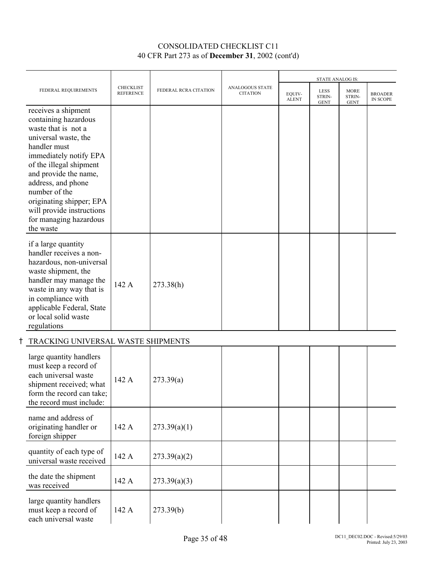|                                                                                                                                                                                                                                                                                                                                 |                                      |                       | <b>ANALOGOUS STATE</b><br><b>CITATION</b> |                        | <b>STATE ANALOG IS:</b>              |                                      |                                   |
|---------------------------------------------------------------------------------------------------------------------------------------------------------------------------------------------------------------------------------------------------------------------------------------------------------------------------------|--------------------------------------|-----------------------|-------------------------------------------|------------------------|--------------------------------------|--------------------------------------|-----------------------------------|
| FEDERAL REQUIREMENTS                                                                                                                                                                                                                                                                                                            | <b>CHECKLIST</b><br><b>REFERENCE</b> | FEDERAL RCRA CITATION |                                           | EQUIV-<br><b>ALENT</b> | <b>LESS</b><br>STRIN-<br><b>GENT</b> | <b>MORE</b><br>STRIN-<br><b>GENT</b> | <b>BROADER</b><br><b>IN SCOPE</b> |
| receives a shipment<br>containing hazardous<br>waste that is not a<br>universal waste, the<br>handler must<br>immediately notify EPA<br>of the illegal shipment<br>and provide the name,<br>address, and phone<br>number of the<br>originating shipper; EPA<br>will provide instructions<br>for managing hazardous<br>the waste |                                      |                       |                                           |                        |                                      |                                      |                                   |
| if a large quantity<br>handler receives a non-<br>hazardous, non-universal<br>waste shipment, the<br>handler may manage the<br>waste in any way that is<br>in compliance with<br>applicable Federal, State<br>or local solid waste<br>regulations                                                                               | 142 A                                | 273.38(h)             |                                           |                        |                                      |                                      |                                   |

## H TRACKING UNIVERSAL WASTE SHIPMENTS

| large quantity handlers<br>must keep a record of<br>each universal waste<br>shipment received; what<br>form the record can take;<br>the record must include: | 142A  | 273.39(a)    |  |  |  |
|--------------------------------------------------------------------------------------------------------------------------------------------------------------|-------|--------------|--|--|--|
| name and address of<br>originating handler or<br>foreign shipper                                                                                             | 142 A | 273.39(a)(1) |  |  |  |
| quantity of each type of<br>universal waste received                                                                                                         | 142 A | 273.39(a)(2) |  |  |  |
| the date the shipment<br>was received                                                                                                                        | 142 A | 273.39(a)(3) |  |  |  |
| large quantity handlers<br>must keep a record of<br>each universal waste                                                                                     | 142 A | 273.39(b)    |  |  |  |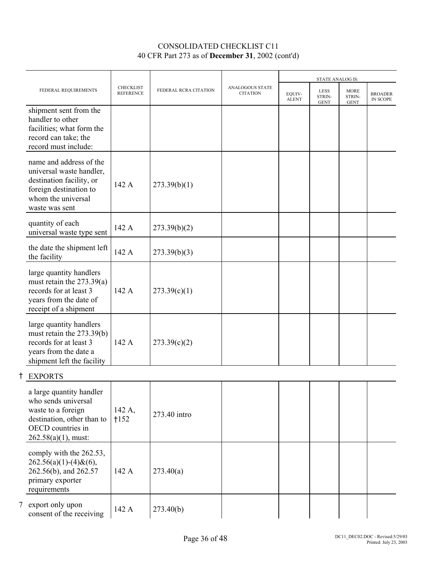|                                                                                                                                                    |                                      |                       |                                           |                        | <b>STATE ANALOG IS:</b>              |                                      |                                   |
|----------------------------------------------------------------------------------------------------------------------------------------------------|--------------------------------------|-----------------------|-------------------------------------------|------------------------|--------------------------------------|--------------------------------------|-----------------------------------|
| FEDERAL REQUIREMENTS                                                                                                                               | <b>CHECKLIST</b><br><b>REFERENCE</b> | FEDERAL RCRA CITATION | <b>ANALOGOUS STATE</b><br><b>CITATION</b> | EQUIV-<br><b>ALENT</b> | <b>LESS</b><br>STRIN-<br><b>GENT</b> | <b>MORE</b><br>STRIN-<br><b>GENT</b> | <b>BROADER</b><br><b>IN SCOPE</b> |
| shipment sent from the<br>handler to other<br>facilities; what form the<br>record can take; the<br>record must include:                            |                                      |                       |                                           |                        |                                      |                                      |                                   |
| name and address of the<br>universal waste handler,<br>destination facility, or<br>foreign destination to<br>whom the universal<br>waste was sent  | 142 A                                | 273.39(b)(1)          |                                           |                        |                                      |                                      |                                   |
| quantity of each<br>universal waste type sent                                                                                                      | 142 A                                | 273.39(b)(2)          |                                           |                        |                                      |                                      |                                   |
| the date the shipment left<br>the facility                                                                                                         | 142 A                                | 273.39(b)(3)          |                                           |                        |                                      |                                      |                                   |
| large quantity handlers<br>must retain the $273.39(a)$<br>records for at least 3<br>years from the date of<br>receipt of a shipment                | 142 A                                | 273.39(c)(1)          |                                           |                        |                                      |                                      |                                   |
| large quantity handlers<br>must retain the 273.39(b)<br>records for at least 3<br>years from the date a<br>shipment left the facility              | 142 A                                | 273.39(c)(2)          |                                           |                        |                                      |                                      |                                   |
| <b>EXPORTS</b>                                                                                                                                     |                                      |                       |                                           |                        |                                      |                                      |                                   |
| a large quantity handler<br>who sends universal<br>waste to a foreign<br>destination, other than to<br>OECD countries in<br>$262.58(a)(1)$ , must: | 142 A,<br>$+152$                     | 273.40 intro          |                                           |                        |                                      |                                      |                                   |
| comply with the 262.53,<br>$262.56(a)(1)-(4)$ & $(6)$ ,<br>262.56(b), and 262.57<br>primary exporter<br>requirements                               | 142 A                                | 273.40(a)             |                                           |                        |                                      |                                      |                                   |
| 7 export only upon<br>consent of the receiving                                                                                                     | 142 A                                | 273.40(b)             |                                           |                        |                                      |                                      |                                   |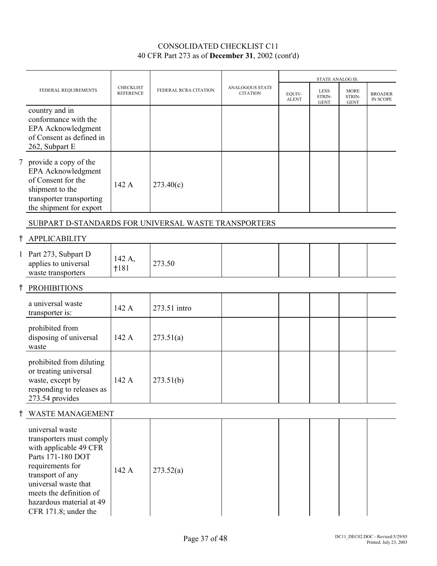|                                                                                                                                                                                                                                           |                                      |                       |                                    |                        | STATE ANALOG IS:              |                                      |                                   |
|-------------------------------------------------------------------------------------------------------------------------------------------------------------------------------------------------------------------------------------------|--------------------------------------|-----------------------|------------------------------------|------------------------|-------------------------------|--------------------------------------|-----------------------------------|
| FEDERAL REQUIREMENTS                                                                                                                                                                                                                      | <b>CHECKLIST</b><br><b>REFERENCE</b> | FEDERAL RCRA CITATION | ANALOGOUS STATE<br><b>CITATION</b> | EQUIV-<br><b>ALENT</b> | LESS<br>STRIN-<br><b>GENT</b> | <b>MORE</b><br>STRIN-<br><b>GENT</b> | <b>BROADER</b><br><b>IN SCOPE</b> |
| country and in<br>conformance with the<br>EPA Acknowledgment<br>of Consent as defined in<br>262, Subpart E                                                                                                                                |                                      |                       |                                    |                        |                               |                                      |                                   |
| 7 provide a copy of the<br>EPA Acknowledgment<br>of Consent for the<br>shipment to the<br>transporter transporting<br>the shipment for export                                                                                             | 142 A                                | 273.40(c)             |                                    |                        |                               |                                      |                                   |
| SUBPART D-STANDARDS FOR UNIVERSAL WASTE TRANSPORTERS                                                                                                                                                                                      |                                      |                       |                                    |                        |                               |                                      |                                   |
| <b>APPLICABILITY</b>                                                                                                                                                                                                                      |                                      |                       |                                    |                        |                               |                                      |                                   |
| 1 Part 273, Subpart D<br>applies to universal<br>waste transporters                                                                                                                                                                       | 142 A,<br>1181                       | 273.50                |                                    |                        |                               |                                      |                                   |
| <b>PROHIBITIONS</b>                                                                                                                                                                                                                       |                                      |                       |                                    |                        |                               |                                      |                                   |
| a universal waste<br>transporter is:                                                                                                                                                                                                      | 142 A                                | 273.51 intro          |                                    |                        |                               |                                      |                                   |
| prohibited from<br>disposing of universal<br>waste                                                                                                                                                                                        | 142 A                                | 273.51(a)             |                                    |                        |                               |                                      |                                   |
| prohibited from diluting<br>or treating universal<br>waste, except by<br>responding to releases as<br>273.54 provides                                                                                                                     | 142 A                                | 273.51(b)             |                                    |                        |                               |                                      |                                   |
| <b>WASTE MANAGEMENT</b>                                                                                                                                                                                                                   |                                      |                       |                                    |                        |                               |                                      |                                   |
| universal waste<br>transporters must comply<br>with applicable 49 CFR<br>Parts 171-180 DOT<br>requirements for<br>transport of any<br>universal waste that<br>meets the definition of<br>hazardous material at 49<br>CFR 171.8; under the | 142 A                                | 273.52(a)             |                                    |                        |                               |                                      |                                   |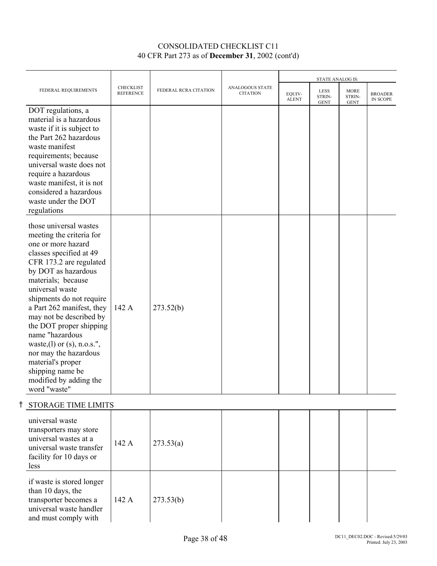|                                                                                                                                                                                                                                                                                                                                                                                                                                                                             |                                      |                       |                                    | <b>STATE ANALOG IS:</b> |                               |                                      |                                   |
|-----------------------------------------------------------------------------------------------------------------------------------------------------------------------------------------------------------------------------------------------------------------------------------------------------------------------------------------------------------------------------------------------------------------------------------------------------------------------------|--------------------------------------|-----------------------|------------------------------------|-------------------------|-------------------------------|--------------------------------------|-----------------------------------|
| FEDERAL REQUIREMENTS                                                                                                                                                                                                                                                                                                                                                                                                                                                        | <b>CHECKLIST</b><br><b>REFERENCE</b> | FEDERAL RCRA CITATION | ANALOGOUS STATE<br><b>CITATION</b> | EQUIV-<br><b>ALENT</b>  | LESS<br>STRIN-<br><b>GENT</b> | <b>MORE</b><br>STRIN-<br><b>GENT</b> | <b>BROADER</b><br><b>IN SCOPE</b> |
| DOT regulations, a<br>material is a hazardous<br>waste if it is subject to<br>the Part 262 hazardous<br>waste manifest<br>requirements; because<br>universal waste does not<br>require a hazardous<br>waste manifest, it is not<br>considered a hazardous<br>waste under the DOT<br>regulations                                                                                                                                                                             |                                      |                       |                                    |                         |                               |                                      |                                   |
| those universal wastes<br>meeting the criteria for<br>one or more hazard<br>classes specified at 49<br>CFR 173.2 are regulated<br>by DOT as hazardous<br>materials; because<br>universal waste<br>shipments do not require<br>a Part 262 manifest, they<br>may not be described by<br>the DOT proper shipping<br>name "hazardous<br>waste, (1) or (s), n.o.s.",<br>nor may the hazardous<br>material's proper<br>shipping name be<br>modified by adding the<br>word "waste" | 142 A                                | 273.52(b)             |                                    |                         |                               |                                      |                                   |
| <b>STORAGE TIME LIMITS</b>                                                                                                                                                                                                                                                                                                                                                                                                                                                  |                                      |                       |                                    |                         |                               |                                      |                                   |
| universal waste<br>transporters may store<br>universal wastes at a<br>universal waste transfer<br>facility for 10 days or<br>less                                                                                                                                                                                                                                                                                                                                           | 142 A                                | 273.53(a)             |                                    |                         |                               |                                      |                                   |
| if waste is stored longer<br>than 10 days, the<br>transporter becomes a<br>universal waste handler<br>and must comply with                                                                                                                                                                                                                                                                                                                                                  | 142 A                                | 273.53(b)             |                                    |                         |                               |                                      |                                   |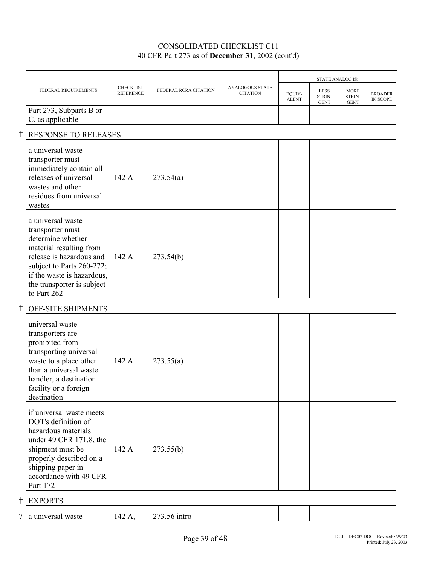| FEDERAL REQUIREMENTS                                                                                                                                                                                                      | <b>CHECKLIST</b><br><b>REFERENCE</b> | FEDERAL RCRA CITATION | ANALOGOUS STATE<br><b>CITATION</b> | EQUIV-<br><b>ALENT</b> | <b>LESS</b><br>STRIN-<br><b>GENT</b> | <b>MORE</b><br>STRIN-<br><b>GENT</b> | <b>BROADER</b><br>IN SCOPE |
|---------------------------------------------------------------------------------------------------------------------------------------------------------------------------------------------------------------------------|--------------------------------------|-----------------------|------------------------------------|------------------------|--------------------------------------|--------------------------------------|----------------------------|
| Part 273, Subparts B or<br>C, as applicable                                                                                                                                                                               |                                      |                       |                                    |                        |                                      |                                      |                            |
|                                                                                                                                                                                                                           |                                      |                       |                                    |                        |                                      |                                      |                            |
| a universal waste<br>transporter must<br>immediately contain all<br>releases of universal<br>wastes and other<br>residues from universal<br>wastes                                                                        | 142 A                                | 273.54(a)             |                                    |                        |                                      |                                      |                            |
| a universal waste<br>transporter must<br>determine whether<br>material resulting from<br>release is hazardous and<br>subject to Parts 260-272;<br>if the waste is hazardous,<br>the transporter is subject<br>to Part 262 | 142 A                                | 273.54(b)             |                                    |                        |                                      |                                      |                            |
| OFF-SITE SHIPMENTS                                                                                                                                                                                                        |                                      |                       |                                    |                        |                                      |                                      |                            |
| universal waste<br>transporters are<br>prohibited from<br>transporting universal<br>waste to a place other<br>than a universal waste<br>handler, a destination<br>facility or a foreign<br>destination                    | 142 A                                | 273.55(a)             |                                    |                        |                                      |                                      |                            |
| if universal waste meets<br>DOT's definition of<br>hazardous materials<br>under 49 CFR 171.8, the<br>shipment must be<br>properly described on a<br>shipping paper in<br>accordance with 49 CFR<br>Part 172               | 142 A                                | 273.55(b)             |                                    |                        |                                      |                                      |                            |
|                                                                                                                                                                                                                           |                                      | RESPONSE TO RELEASES  |                                    |                        |                                      |                                      | STATE ANALOG IS:           |

H EXPORTS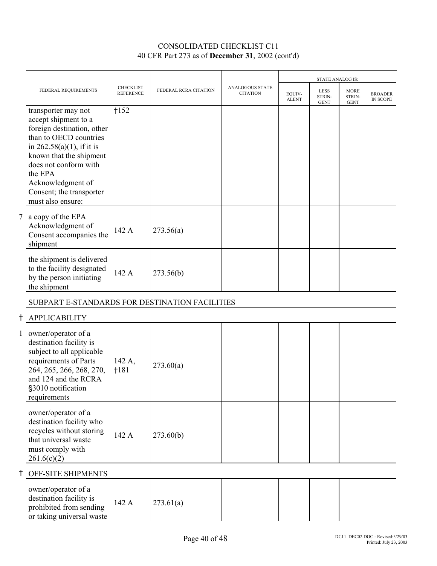|   |                                                                                                                                                                                                                                                                          |                                      |                       |                                           |                        | <b>STATE ANALOG IS:</b>              |                                      |                                   |
|---|--------------------------------------------------------------------------------------------------------------------------------------------------------------------------------------------------------------------------------------------------------------------------|--------------------------------------|-----------------------|-------------------------------------------|------------------------|--------------------------------------|--------------------------------------|-----------------------------------|
|   | FEDERAL REQUIREMENTS                                                                                                                                                                                                                                                     | <b>CHECKLIST</b><br><b>REFERENCE</b> | FEDERAL RCRA CITATION | <b>ANALOGOUS STATE</b><br><b>CITATION</b> | EOUIV-<br><b>ALENT</b> | <b>LESS</b><br>STRIN-<br><b>GENT</b> | <b>MORE</b><br>STRIN-<br><b>GENT</b> | <b>BROADER</b><br><b>IN SCOPE</b> |
|   | transporter may not<br>accept shipment to a<br>foreign destination, other<br>than to OECD countries<br>in $262.58(a)(1)$ , if it is<br>known that the shipment<br>does not conform with<br>the EPA<br>Acknowledgment of<br>Consent; the transporter<br>must also ensure: | 1152                                 |                       |                                           |                        |                                      |                                      |                                   |
| 7 | a copy of the EPA<br>Acknowledgment of<br>Consent accompanies the<br>shipment                                                                                                                                                                                            | 142 A                                | 273.56(a)             |                                           |                        |                                      |                                      |                                   |
|   | the shipment is delivered<br>to the facility designated<br>by the person initiating<br>the shipment                                                                                                                                                                      | 142 A                                | 273.56(b)             |                                           |                        |                                      |                                      |                                   |
|   | SUBPART E-STANDARDS FOR DESTINATION FACILITIES                                                                                                                                                                                                                           |                                      |                       |                                           |                        |                                      |                                      |                                   |
|   | <b>APPLICABILITY</b>                                                                                                                                                                                                                                                     |                                      |                       |                                           |                        |                                      |                                      |                                   |

| 1 owner/operator of a<br>destination facility is<br>subject to all applicable<br>requirements of Parts<br>264, 265, 266, 268, 270,<br>and 124 and the RCRA<br>§3010 notification<br>requirements | 142 A,<br>$+181$ | 273.60(a) |  |  |  |
|--------------------------------------------------------------------------------------------------------------------------------------------------------------------------------------------------|------------------|-----------|--|--|--|
| owner/operator of a<br>destination facility who<br>recycles without storing<br>that universal waste<br>must comply with<br>261.6(c)(2)                                                           | 142 A            | 273.60(b) |  |  |  |

# H OFF-SITE SHIPMENTS

| owner/operator of a<br>destination facility is<br>prohibited from sending<br>or taking universal waste | 142 A | 273.61(a) |  |  |  |  |  |
|--------------------------------------------------------------------------------------------------------|-------|-----------|--|--|--|--|--|
|--------------------------------------------------------------------------------------------------------|-------|-----------|--|--|--|--|--|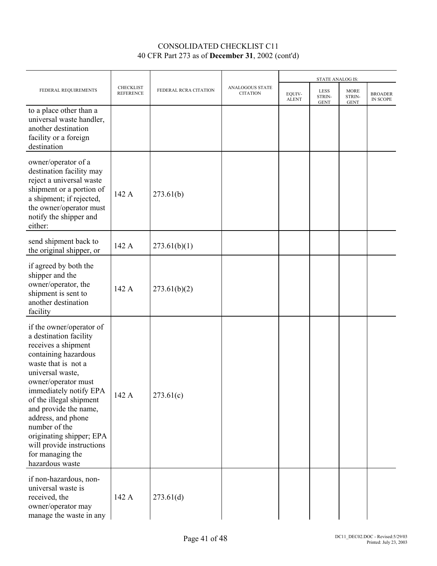|                                                                                                                                                                                                                                                                                                                                                                                          |                                      |                       |                                    |                        | STATE ANALOG IS:                     |                                      |                            |
|------------------------------------------------------------------------------------------------------------------------------------------------------------------------------------------------------------------------------------------------------------------------------------------------------------------------------------------------------------------------------------------|--------------------------------------|-----------------------|------------------------------------|------------------------|--------------------------------------|--------------------------------------|----------------------------|
| FEDERAL REQUIREMENTS                                                                                                                                                                                                                                                                                                                                                                     | <b>CHECKLIST</b><br><b>REFERENCE</b> | FEDERAL RCRA CITATION | ANALOGOUS STATE<br><b>CITATION</b> | EQUIV-<br><b>ALENT</b> | <b>LESS</b><br>STRIN-<br><b>GENT</b> | <b>MORE</b><br>STRIN-<br><b>GENT</b> | <b>BROADER</b><br>IN SCOPE |
| to a place other than a<br>universal waste handler,<br>another destination<br>facility or a foreign<br>destination                                                                                                                                                                                                                                                                       |                                      |                       |                                    |                        |                                      |                                      |                            |
| owner/operator of a<br>destination facility may<br>reject a universal waste<br>shipment or a portion of<br>a shipment; if rejected,<br>the owner/operator must<br>notify the shipper and<br>either:                                                                                                                                                                                      | 142 A                                | 273.61(b)             |                                    |                        |                                      |                                      |                            |
| send shipment back to<br>the original shipper, or                                                                                                                                                                                                                                                                                                                                        | 142 A                                | 273.61(b)(1)          |                                    |                        |                                      |                                      |                            |
| if agreed by both the<br>shipper and the<br>owner/operator, the<br>shipment is sent to<br>another destination<br>facility                                                                                                                                                                                                                                                                | 142 A                                | 273.61(b)(2)          |                                    |                        |                                      |                                      |                            |
| if the owner/operator of<br>a destination facility<br>receives a shipment<br>containing hazardous<br>waste that is not a<br>universal waste,<br>owner/operator must<br>immediately notify EPA<br>of the illegal shipment<br>and provide the name,<br>address, and phone<br>number of the<br>originating shipper; EPA<br>will provide instructions<br>for managing the<br>hazardous waste | 142 A                                | 273.61(c)             |                                    |                        |                                      |                                      |                            |
| if non-hazardous, non-<br>universal waste is<br>received, the<br>owner/operator may<br>manage the waste in any                                                                                                                                                                                                                                                                           | 142 A                                | 273.61(d)             |                                    |                        |                                      |                                      |                            |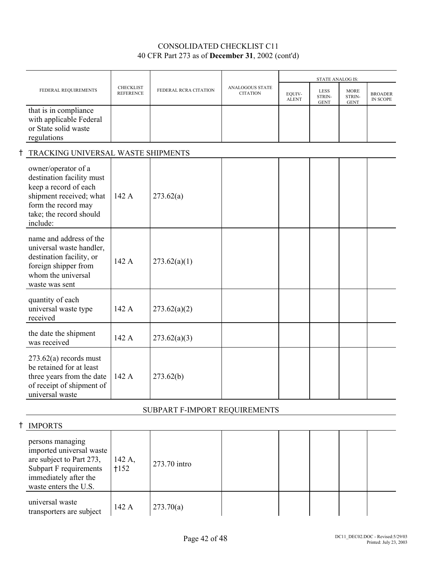|                                                                                                                                                                    |                               |                       |                                    | <b>STATE ANALOG IS:</b> |                                      |                                      |                                   |
|--------------------------------------------------------------------------------------------------------------------------------------------------------------------|-------------------------------|-----------------------|------------------------------------|-------------------------|--------------------------------------|--------------------------------------|-----------------------------------|
| FEDERAL REQUIREMENTS                                                                                                                                               | CHECKLIST<br><b>REFERENCE</b> | FEDERAL RCRA CITATION | ANALOGOUS STATE<br><b>CITATION</b> | EOUIV-<br><b>ALENT</b>  | <b>LESS</b><br>STRIN-<br><b>GENT</b> | <b>MORE</b><br>STRIN-<br><b>GENT</b> | <b>BROADER</b><br><b>IN SCOPE</b> |
| that is in compliance<br>with applicable Federal<br>or State solid waste<br>regulations                                                                            |                               |                       |                                    |                         |                                      |                                      |                                   |
| TRACKING UNIVERSAL WASTE SHIPMENTS                                                                                                                                 |                               |                       |                                    |                         |                                      |                                      |                                   |
| owner/operator of a<br>destination facility must<br>keep a record of each<br>shipment received; what<br>form the record may<br>take; the record should<br>include: | 142A                          | 273.62(a)             |                                    |                         |                                      |                                      |                                   |
| name and address of the<br>universal waste handler,<br>destination facility, or<br>foreign shipper from<br>whom the universal<br>waste was sent                    | 142 A                         | 273.62(a)(1)          |                                    |                         |                                      |                                      |                                   |
| quantity of each<br>universal waste type<br>received                                                                                                               | 142 A                         | 273.62(a)(2)          |                                    |                         |                                      |                                      |                                   |
| the date the shipment<br>was received                                                                                                                              | 142 A                         | 273.62(a)(3)          |                                    |                         |                                      |                                      |                                   |
| $273.62(a)$ records must<br>be retained for at least<br>three years from the date<br>of receipt of shipment of<br>universal waste                                  | 142 A                         | 273.62(b)             |                                    |                         |                                      |                                      |                                   |

### SUBPART F-IMPORT REQUIREMENTS

| <b>IMPORTS</b>                                                                                                                                       |                  |              |  |  |  |
|------------------------------------------------------------------------------------------------------------------------------------------------------|------------------|--------------|--|--|--|
| persons managing<br>imported universal waste<br>are subject to Part 273,<br>Subpart F requirements<br>immediately after the<br>waste enters the U.S. | 142 A,<br>$+152$ | 273.70 intro |  |  |  |
| universal waste<br>transporters are subject                                                                                                          | 142 A            | 273.70(a)    |  |  |  |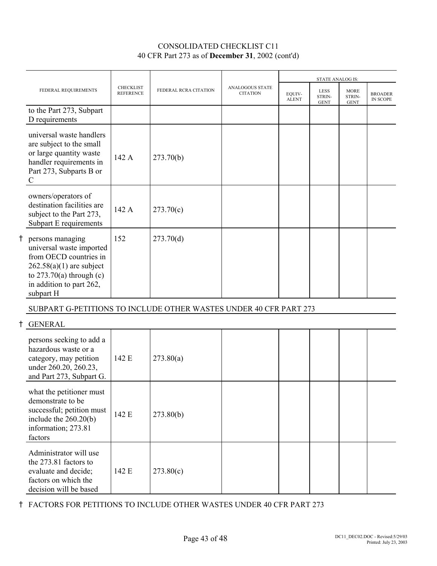|                                                                                                                                                                             |                                      |                       |                                           |                        | <b>STATE ANALOG IS:</b>              |                                      |                                   |
|-----------------------------------------------------------------------------------------------------------------------------------------------------------------------------|--------------------------------------|-----------------------|-------------------------------------------|------------------------|--------------------------------------|--------------------------------------|-----------------------------------|
| FEDERAL REQUIREMENTS                                                                                                                                                        | <b>CHECKLIST</b><br><b>REFERENCE</b> | FEDERAL RCRA CITATION | <b>ANALOGOUS STATE</b><br><b>CITATION</b> | EQUIV-<br><b>ALENT</b> | <b>LESS</b><br>STRIN-<br><b>GENT</b> | <b>MORE</b><br>STRIN-<br><b>GENT</b> | <b>BROADER</b><br><b>IN SCOPE</b> |
| to the Part 273, Subpart<br>D requirements                                                                                                                                  |                                      |                       |                                           |                        |                                      |                                      |                                   |
| universal waste handlers<br>are subject to the small<br>or large quantity waste<br>handler requirements in<br>Part 273, Subparts B or<br>$\mathcal{C}$                      | 142 A                                | 273.70(b)             |                                           |                        |                                      |                                      |                                   |
| owners/operators of<br>destination facilities are<br>subject to the Part 273,<br>Subpart E requirements                                                                     | 142 A                                | 273.70(c)             |                                           |                        |                                      |                                      |                                   |
| persons managing<br>universal waste imported<br>from OECD countries in<br>$262.58(a)(1)$ are subject<br>to $273.70(a)$ through (c)<br>in addition to part 262,<br>subpart H | 152                                  | 273.70(d)             |                                           |                        |                                      |                                      |                                   |
| SUBPART G-PETITIONS TO INCLUDE OTHER WASTES UNDER 40 CFR PART 273                                                                                                           |                                      |                       |                                           |                        |                                      |                                      |                                   |
| <b>GENERAL</b>                                                                                                                                                              |                                      |                       |                                           |                        |                                      |                                      |                                   |
| persons seeking to add a<br>hazardous waste or a<br>category, may petition<br>under 260.20, 260.23,<br>and Part 273, Subpart G.                                             | 142 E                                | 273.80(a)             |                                           |                        |                                      |                                      |                                   |

| what the petitioner must<br>demonstrate to be<br>successful; petition must<br>include the $260.20(b)$<br>information; 273.81<br>factors | 142 E | 273.80(b) |  |  |  |
|-----------------------------------------------------------------------------------------------------------------------------------------|-------|-----------|--|--|--|
| Administrator will use<br>the 273.81 factors to<br>evaluate and decide;<br>factors on which the<br>decision will be based               | 142 E | 273.80(c) |  |  |  |

H FACTORS FOR PETITIONS TO INCLUDE OTHER WASTES UNDER 40 CFR PART 273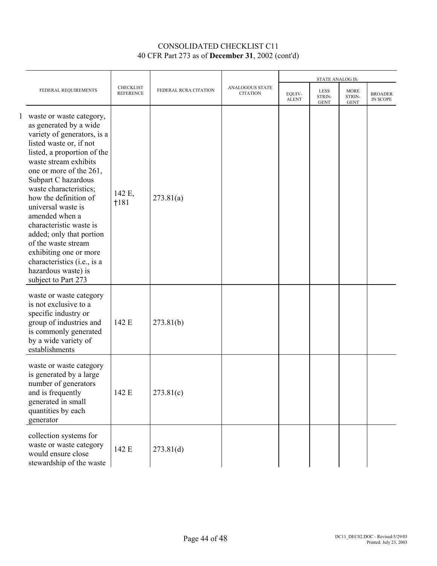|  | FEDERAL REQUIREMENTS                                                                                                                                                                                                                                                                                                                                                                                                                                                                                     | <b>CHECKLIST</b><br><b>REFERENCE</b> | FEDERAL RCRA CITATION | ANALOGOUS STATE<br><b>CITATION</b> | STATE ANALOG IS:       |                                      |                                      |                            |
|--|----------------------------------------------------------------------------------------------------------------------------------------------------------------------------------------------------------------------------------------------------------------------------------------------------------------------------------------------------------------------------------------------------------------------------------------------------------------------------------------------------------|--------------------------------------|-----------------------|------------------------------------|------------------------|--------------------------------------|--------------------------------------|----------------------------|
|  |                                                                                                                                                                                                                                                                                                                                                                                                                                                                                                          |                                      |                       |                                    | EOUIV-<br><b>ALENT</b> | <b>LESS</b><br>STRIN-<br><b>GENT</b> | <b>MORE</b><br>STRIN-<br><b>GENT</b> | <b>BROADER</b><br>IN SCOPE |
|  | 1 waste or waste category,<br>as generated by a wide<br>variety of generators, is a<br>listed waste or, if not<br>listed, a proportion of the<br>waste stream exhibits<br>one or more of the 261,<br>Subpart C hazardous<br>waste characteristics;<br>how the definition of<br>universal waste is<br>amended when a<br>characteristic waste is<br>added; only that portion<br>of the waste stream<br>exhibiting one or more<br>characteristics (i.e., is a<br>hazardous waste) is<br>subject to Part 273 | 142 E,<br>$+181$                     | 273.81(a)             |                                    |                        |                                      |                                      |                            |
|  | waste or waste category<br>is not exclusive to a<br>specific industry or<br>group of industries and<br>is commonly generated<br>by a wide variety of<br>establishments                                                                                                                                                                                                                                                                                                                                   | 142 E                                | 273.81(b)             |                                    |                        |                                      |                                      |                            |
|  | waste or waste category<br>is generated by a large<br>number of generators<br>and is frequently<br>generated in small<br>quantities by each<br>generator                                                                                                                                                                                                                                                                                                                                                 | 142 E                                | 273.81(c)             |                                    |                        |                                      |                                      |                            |
|  | collection systems for<br>waste or waste category<br>would ensure close<br>stewardship of the waste                                                                                                                                                                                                                                                                                                                                                                                                      | 142 E                                | 273.81(d)             |                                    |                        |                                      |                                      |                            |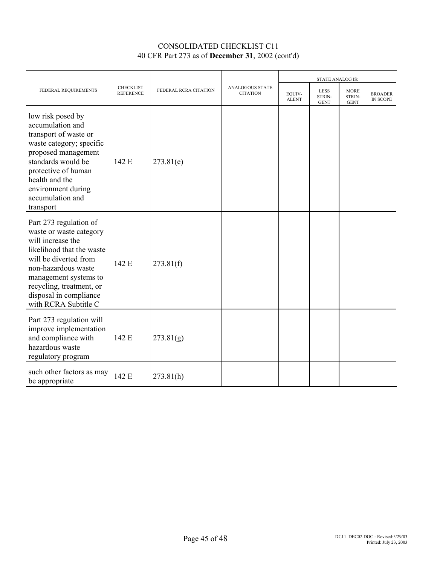|                                                                                                                                                                                                                                                            | <b>CHECKLIST</b><br><b>REFERENCE</b> | FEDERAL RCRA CITATION | ANALOGOUS STATE<br><b>CITATION</b> | <b>STATE ANALOG IS:</b> |                                      |                                      |                                   |
|------------------------------------------------------------------------------------------------------------------------------------------------------------------------------------------------------------------------------------------------------------|--------------------------------------|-----------------------|------------------------------------|-------------------------|--------------------------------------|--------------------------------------|-----------------------------------|
| FEDERAL REQUIREMENTS                                                                                                                                                                                                                                       |                                      |                       |                                    | EOUIV-<br><b>ALENT</b>  | <b>LESS</b><br>STRIN-<br><b>GENT</b> | <b>MORE</b><br>STRIN-<br><b>GENT</b> | <b>BROADER</b><br><b>IN SCOPE</b> |
| low risk posed by<br>accumulation and<br>transport of waste or<br>waste category; specific<br>proposed management<br>standards would be<br>protective of human<br>health and the<br>environment during<br>accumulation and<br>transport                    | 142 E                                | 273.81(e)             |                                    |                         |                                      |                                      |                                   |
| Part 273 regulation of<br>waste or waste category<br>will increase the<br>likelihood that the waste<br>will be diverted from<br>non-hazardous waste<br>management systems to<br>recycling, treatment, or<br>disposal in compliance<br>with RCRA Subtitle C | 142 E                                | 273.81(f)             |                                    |                         |                                      |                                      |                                   |
| Part 273 regulation will<br>improve implementation<br>and compliance with<br>hazardous waste<br>regulatory program                                                                                                                                         | 142 E                                | 273.81(g)             |                                    |                         |                                      |                                      |                                   |
| such other factors as may<br>be appropriate                                                                                                                                                                                                                | 142 E                                | 273.81(h)             |                                    |                         |                                      |                                      |                                   |